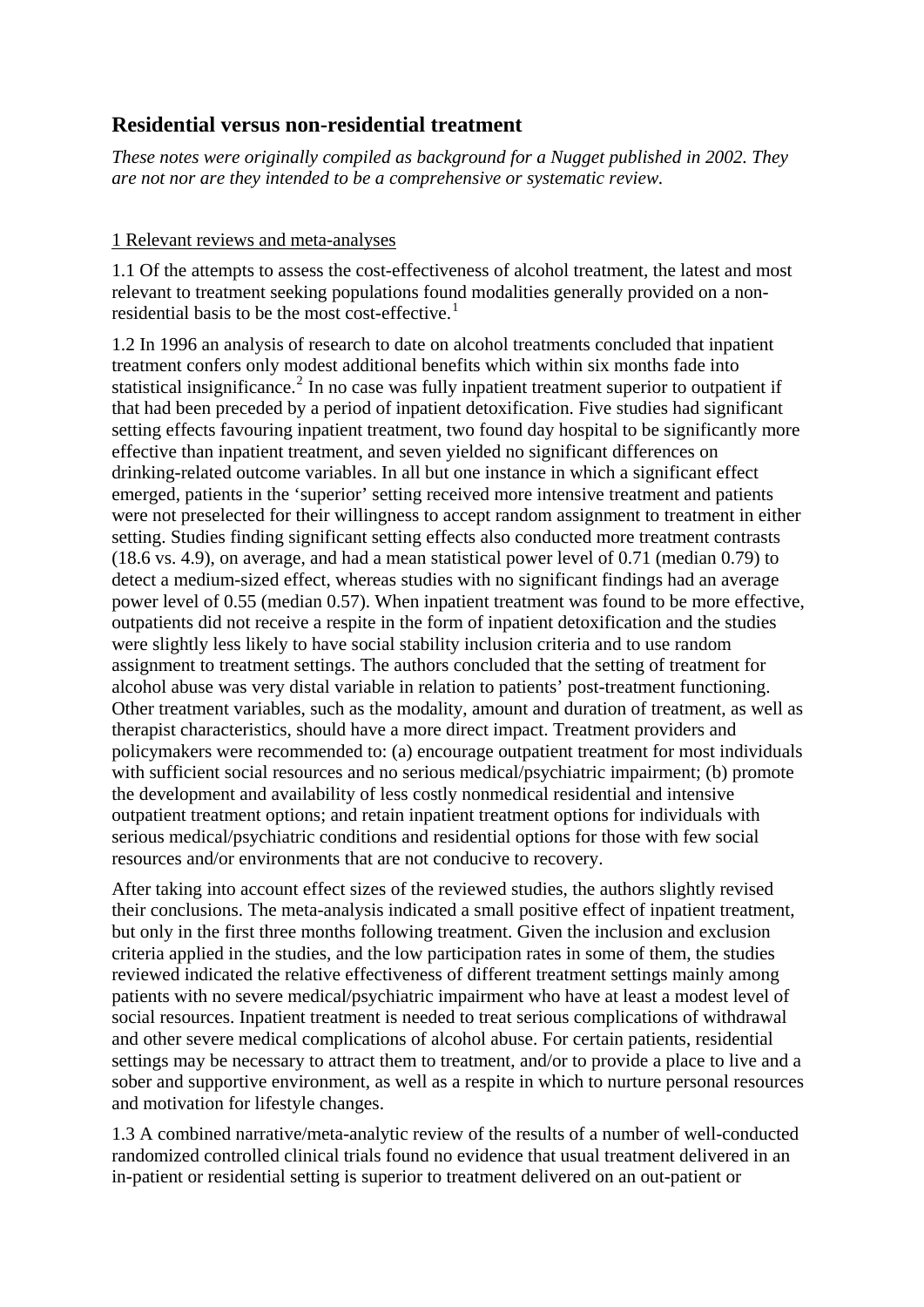# **Residential versus non-residential treatment**

*These notes were originally compiled as background for a Nugget published in 2002. They are not nor are they intended to be a comprehensive or systematic review.* 

## 1 Relevant reviews and meta-analyses

1.1 Of the attempts to assess the cost-effectiveness of alcohol treatment, the latest and most relevant to treatment seeking populations found modalities generally provided on a non-residential basis to be the most cost-effective.<sup>[1](#page-18-0)</sup>

1.2 In 1996 an analysis of research to date on alcohol treatments concluded that inpatient treatment confers only modest additional benefits which within six months fade into statistical insignificance.<sup>[2](#page-18-1)</sup> In no case was fully inpatient treatment superior to outpatient if that had been preceded by a period of inpatient detoxification. Five studies had significant setting effects favouring inpatient treatment, two found day hospital to be significantly more effective than inpatient treatment, and seven yielded no significant differences on drinking-related outcome variables. In all but one instance in which a significant effect emerged, patients in the 'superior' setting received more intensive treatment and patients were not preselected for their willingness to accept random assignment to treatment in either setting. Studies finding significant setting effects also conducted more treatment contrasts (18.6 vs. 4.9), on average, and had a mean statistical power level of 0.71 (median 0.79) to detect a medium-sized effect, whereas studies with no significant findings had an average power level of 0.55 (median 0.57). When inpatient treatment was found to be more effective, outpatients did not receive a respite in the form of inpatient detoxification and the studies were slightly less likely to have social stability inclusion criteria and to use random assignment to treatment settings. The authors concluded that the setting of treatment for alcohol abuse was very distal variable in relation to patients' post-treatment functioning. Other treatment variables, such as the modality, amount and duration of treatment, as well as therapist characteristics, should have a more direct impact. Treatment providers and policymakers were recommended to: (a) encourage outpatient treatment for most individuals with sufficient social resources and no serious medical/psychiatric impairment; (b) promote the development and availability of less costly nonmedical residential and intensive outpatient treatment options; and retain inpatient treatment options for individuals with serious medical/psychiatric conditions and residential options for those with few social resources and/or environments that are not conducive to recovery.

After taking into account effect sizes of the reviewed studies, the authors slightly revised their conclusions. The meta-analysis indicated a small positive effect of inpatient treatment, but only in the first three months following treatment. Given the inclusion and exclusion criteria applied in the studies, and the low participation rates in some of them, the studies reviewed indicated the relative effectiveness of different treatment settings mainly among patients with no severe medical/psychiatric impairment who have at least a modest level of social resources. Inpatient treatment is needed to treat serious complications of withdrawal and other severe medical complications of alcohol abuse. For certain patients, residential settings may be necessary to attract them to treatment, and/or to provide a place to live and a sober and supportive environment, as well as a respite in which to nurture personal resources and motivation for lifestyle changes.

1.3 A combined narrative/meta-analytic review of the results of a number of well-conducted randomized controlled clinical trials found no evidence that usual treatment delivered in an in-patient or residential setting is superior to treatment delivered on an out-patient or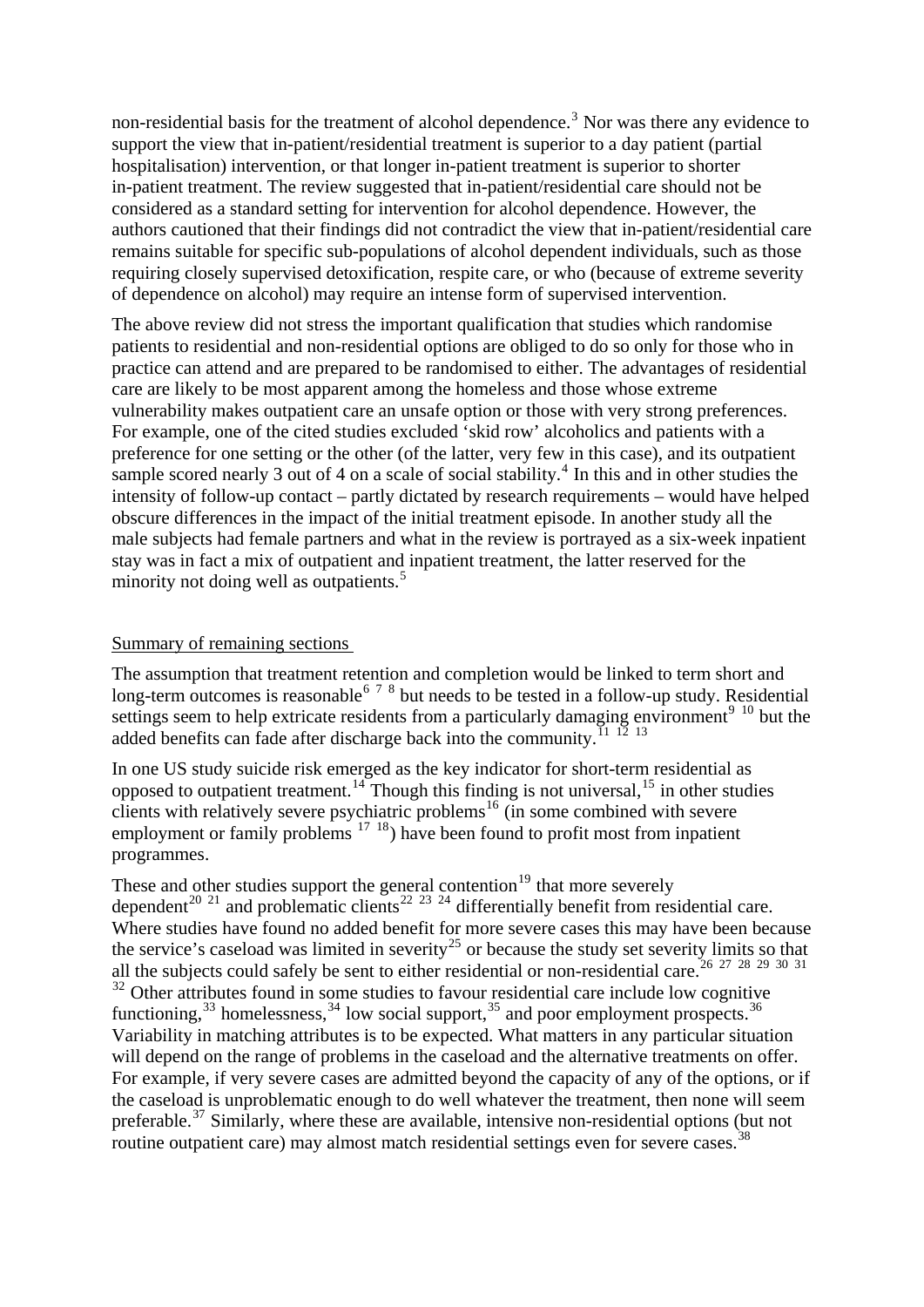non-residential basis for the treatment of alcohol dependence.<sup>[3](#page-18-1)</sup> Nor was there any evidence to support the view that in-patient/residential treatment is superior to a day patient (partial hospitalisation) intervention, or that longer in-patient treatment is superior to shorter in-patient treatment. The review suggested that in-patient/residential care should not be considered as a standard setting for intervention for alcohol dependence. However, the authors cautioned that their findings did not contradict the view that in-patient/residential care remains suitable for specific sub-populations of alcohol dependent individuals, such as those requiring closely supervised detoxification, respite care, or who (because of extreme severity of dependence on alcohol) may require an intense form of supervised intervention.

The above review did not stress the important qualification that studies which randomise patients to residential and non-residential options are obliged to do so only for those who in practice can attend and are prepared to be randomised to either. The advantages of residential care are likely to be most apparent among the homeless and those whose extreme vulnerability makes outpatient care an unsafe option or those with very strong preferences. For example, one of the cited studies excluded 'skid row' alcoholics and patients with a preference for one setting or the other (of the latter, very few in this case), and its outpatient sample scored nearly 3 out of [4](#page-18-1) on a scale of social stability.<sup>4</sup> In this and in other studies the intensity of follow-up contact – partly dictated by research requirements – would have helped obscure differences in the impact of the initial treatment episode. In another study all the male subjects had female partners and what in the review is portrayed as a six-week inpatient stay was in fact a mix of outpatient and inpatient treatment, the latter reserved for the minority not doing well as outpatients. $5$ 

#### Summary of remaining sections

The assumption that treatment retention and completion would be linked to term short and long-term outcomes is reasonable<sup>[6](#page-18-1)[7](#page-18-1)[8](#page-19-0)</sup> but needs to be tested in a follow-up study. Residential settings seem to help extricate residents from a particularly damaging environment<sup>[9](#page-19-0) [10](#page-19-0)</sup> but the added benefits can fade after discharge back into the community.<sup>[11](#page-19-0) [12](#page-19-0)</sup> <sup>[13](#page-19-0)</sup>

In one US study suicide risk emerged as the key indicator for short-term residential as opposed to outpatient treatment.<sup>[14](#page-19-0)</sup> Though this finding is not universal,  $^{15}$  $^{15}$  $^{15}$  in other studies clients with relatively severe psychiatric problems<sup>[16](#page-19-0)</sup> (in some combined with severe employment or family problems  $17 \tcdot 18$  $17 \tcdot 18$  $17 \tcdot 18$ ) have been found to profit most from inpatient programmes.

These and other studies support the general contention<sup>19</sup> that m[ore](#page-19-0) severely dependent<sup>[20](#page-19-0) [21](#page-19-0)</sup> and problematic clients<sup>[22](#page-19-0) [23](#page-19-0) [24](#page-19-0)</sup> differentially benefit from residential care. Where studies have found no added benefit for more severe cases this may have been because the service's caseload was limited in severity<sup>[25](#page-19-0)</sup> or because the study set severity limits so that all the subjects could safely be sent to either residential or non-residential care.<sup>[26](#page-19-0) [27](#page-19-0) [28](#page-19-0) [29](#page-19-0) [30](#page-19-0) [31](#page-19-0)</sup>  $32$  Other attributes found in some studies to favour residential care include low cognitive [functioning,](#page-19-0) $33$  [homelessness,](#page-20-0)  $34$  [low social support,](#page-20-0)  $35$  [and poor employment prospects.](#page-20-0)  $36$ [Variability in matching attributes is to be expected. What matters in any particular situation](#page-20-0)  [will depend on the range of problems in the caseload and the alternative treatments on offer.](#page-20-0)  [For example, if very severe cases are admitted beyond the capacity of any of the options, or if](#page-20-0)  [the caseload is unproblematic enough to do well whatever the treatment, then none will seem](#page-20-0)  [preferable.](#page-20-0)<sup>37</sup> Similarly, where these are available, intensive non-residential options (but not [routine outpatient care\) may almost match residential settings even for severe cases.](#page-20-0)<sup>38</sup>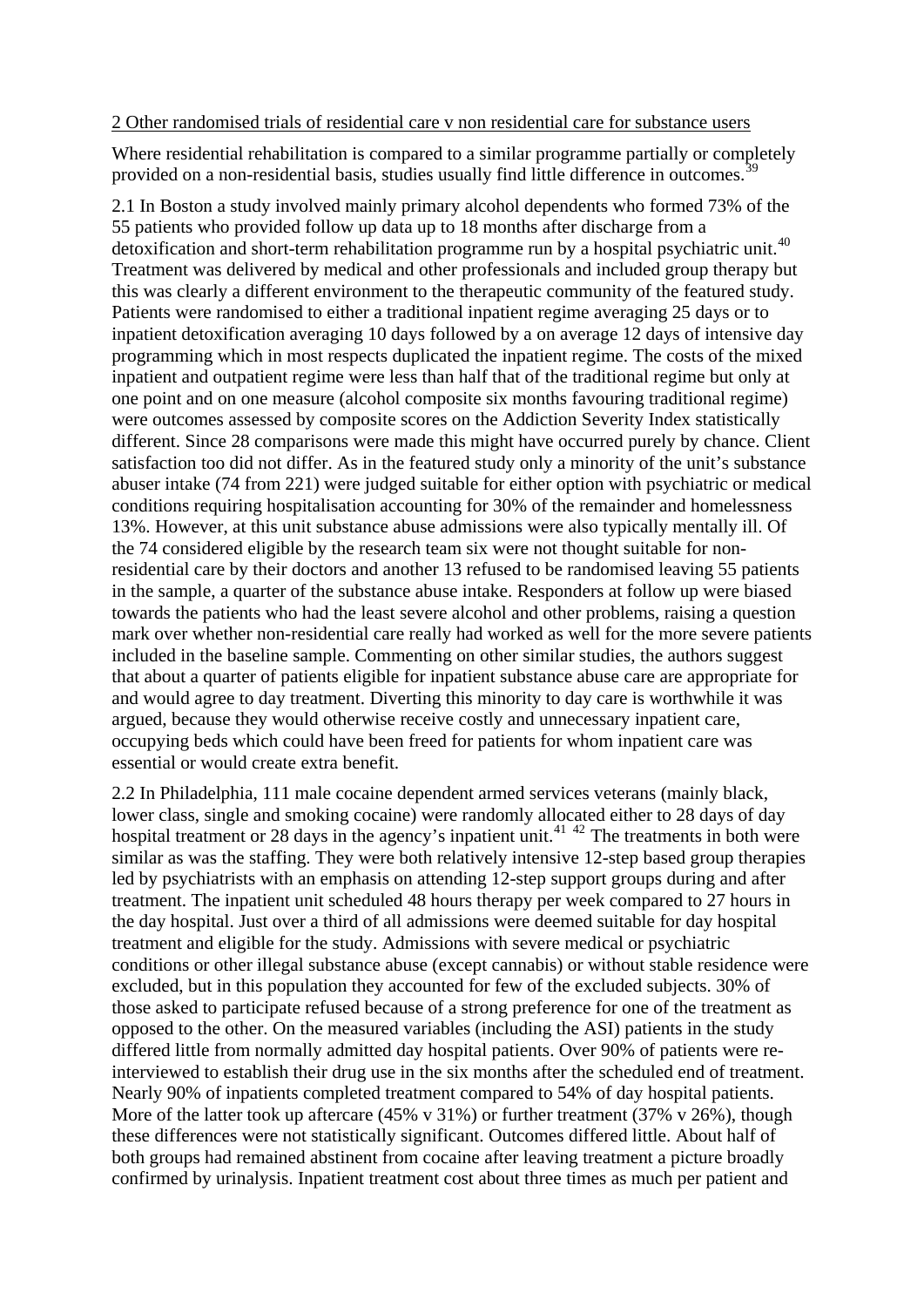### 2 Other randomised trials of residential care v non residential care for substance users

Where residential rehabilitation is compared to a similar programme partially or completely provided on a non-residential basis, studies usually find little difference in outcomes.<sup>3</sup>

2.1 In Boston a study involved mainly primary alcohol dependents who formed 73% of the 55 patients who provided follow up data up to 18 months after discharge from a detoxification and short-term rehabilitation programme run by a hospital psychiatric unit.<sup>[40](#page-20-0)</sup> Treatment was delivered by medical and other professionals and included group therapy but this was clearly a different environment to the therapeutic community of the featured study. Patients were randomised to either a traditional inpatient regime averaging 25 days or to inpatient detoxification averaging 10 days followed by a on average 12 days of intensive day programming which in most respects duplicated the inpatient regime. The costs of the mixed inpatient and outpatient regime were less than half that of the traditional regime but only at one point and on one measure (alcohol composite six months favouring traditional regime) were outcomes assessed by composite scores on the Addiction Severity Index statistically different. Since 28 comparisons were made this might have occurred purely by chance. Client satisfaction too did not differ. As in the featured study only a minority of the unit's substance abuser intake (74 from 221) were judged suitable for either option with psychiatric or medical conditions requiring hospitalisation accounting for 30% of the remainder and homelessness 13%. However, at this unit substance abuse admissions were also typically mentally ill. Of the 74 considered eligible by the research team six were not thought suitable for nonresidential care by their doctors and another 13 refused to be randomised leaving 55 patients in the sample, a quarter of the substance abuse intake. Responders at follow up were biased towards the patients who had the least severe alcohol and other problems, raising a question mark over whether non-residential care really had worked as well for the more severe patients included in the baseline sample. Commenting on other similar studies, the authors suggest that about a quarter of patients eligible for inpatient substance abuse care are appropriate for and would agree to day treatment. Diverting this minority to day care is worthwhile it was argued, because they would otherwise receive costly and unnecessary inpatient care, occupying beds which could have been freed for patients for whom inpatient care was essential or would create extra benefit.

2.2 In Philadelphia, 111 male cocaine dependent armed services veterans (mainly black, lower class, single and smoking cocaine) were randomly allocated either to 28 days of day hospital treatment or 28 days in the agency's inpatient unit.<sup>[41](#page-20-0) [42](#page-20-0)</sup> The treatments in both were similar as was the staffing. They were both relatively intensive 12-step based group therapies led by psychiatrists with an emphasis on attending 12-step support groups during and after treatment. The inpatient unit scheduled 48 hours therapy per week compared to 27 hours in the day hospital. Just over a third of all admissions were deemed suitable for day hospital treatment and eligible for the study. Admissions with severe medical or psychiatric conditions or other illegal substance abuse (except cannabis) or without stable residence were excluded, but in this population they accounted for few of the excluded subjects. 30% of those asked to participate refused because of a strong preference for one of the treatment as opposed to the other. On the measured variables (including the ASI) patients in the study differed little from normally admitted day hospital patients. Over 90% of patients were reinterviewed to establish their drug use in the six months after the scheduled end of treatment. Nearly 90% of inpatients completed treatment compared to 54% of day hospital patients. More of the latter took up aftercare (45% v 31%) or further treatment (37% v 26%), though these differences were not statistically significant. Outcomes differed little. About half of both groups had remained abstinent from cocaine after leaving treatment a picture broadly confirmed by urinalysis. Inpatient treatment cost about three times as much per patient and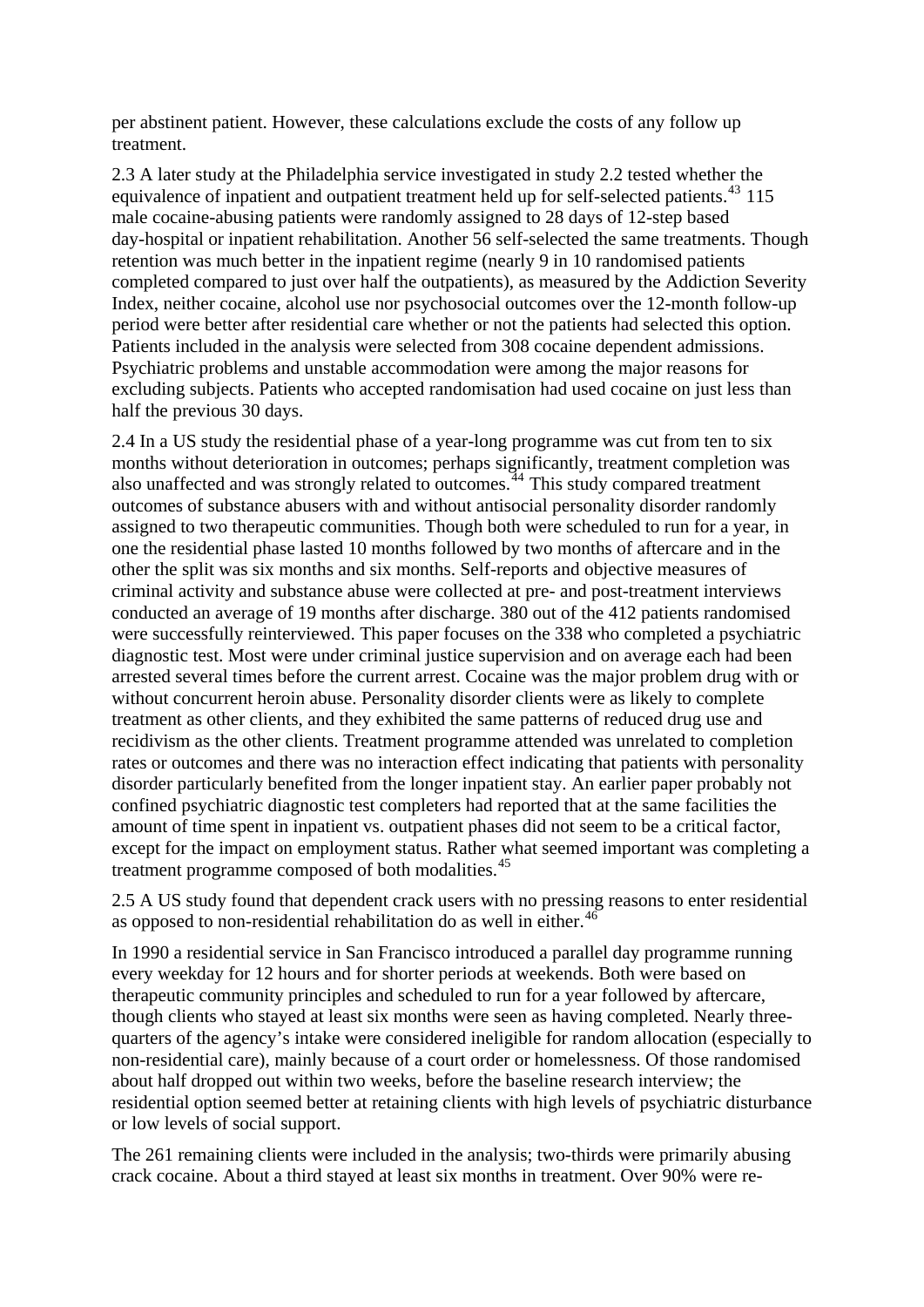per abstinent patient. However, these calculations exclude the costs of any follow up treatment.

2.3 A later study at the Philadelphia service investigated in study 2.2 tested whether the equivalence of inpatient and outpatient treatment held up for self-selected patients.<sup>[43](#page-20-0)</sup> 115 male cocaine-abusing patients were randomly assigned to 28 days of 12-step based day-hospital or inpatient rehabilitation. Another 56 self-selected the same treatments. Though retention was much better in the inpatient regime (nearly 9 in 10 randomised patients completed compared to just over half the outpatients), as measured by the Addiction Severity Index, neither cocaine, alcohol use nor psychosocial outcomes over the 12-month follow-up period were better after residential care whether or not the patients had selected this option. Patients included in the analysis were selected from 308 cocaine dependent admissions. Psychiatric problems and unstable accommodation were among the major reasons for excluding subjects. Patients who accepted randomisation had used cocaine on just less than half the previous 30 days.

2.4 In a US study the residential phase of a year-long programme was cut from ten to six months without deterioration in outcomes; perhaps significantly, treatment completion was also unaffected and was strongly related to outcomes.<sup> $44$ </sup> This study compared treatment outcomes of substance abusers with and without antisocial personality disorder randomly assigned to two therapeutic communities. Though both were scheduled to run for a year, in one the residential phase lasted 10 months followed by two months of aftercare and in the other the split was six months and six months. Self-reports and objective measures of criminal activity and substance abuse were collected at pre- and post-treatment interviews conducted an average of 19 months after discharge. 380 out of the 412 patients randomised were successfully reinterviewed. This paper focuses on the 338 who completed a psychiatric diagnostic test. Most were under criminal justice supervision and on average each had been arrested several times before the current arrest. Cocaine was the major problem drug with or without concurrent heroin abuse. Personality disorder clients were as likely to complete treatment as other clients, and they exhibited the same patterns of reduced drug use and recidivism as the other clients. Treatment programme attended was unrelated to completion rates or outcomes and there was no interaction effect indicating that patients with personality disorder particularly benefited from the longer inpatient stay. An earlier paper probably not confined psychiatric diagnostic test completers had reported that at the same facilities the amount of time spent in inpatient vs. outpatient phases did not seem to be a critical factor, except for the impact on employment status. Rather what seemed important was completing a treatment programme composed of both modalities.<sup>[45](#page-20-0)</sup>

2.5 A US study found that dependent crack users with no pressing reasons to enter residential as opposed to non-residential rehabilitation do as well in either.<sup>[46](#page-20-0)</sup>

In 1990 a residential service in San Francisco introduced a parallel day programme running every weekday for 12 hours and for shorter periods at weekends. Both were based on therapeutic community principles and scheduled to run for a year followed by aftercare, though clients who stayed at least six months were seen as having completed. Nearly threequarters of the agency's intake were considered ineligible for random allocation (especially to non-residential care), mainly because of a court order or homelessness. Of those randomised about half dropped out within two weeks, before the baseline research interview; the residential option seemed better at retaining clients with high levels of psychiatric disturbance or low levels of social support.

The 261 remaining clients were included in the analysis; two-thirds were primarily abusing crack cocaine. About a third stayed at least six months in treatment. Over 90% were re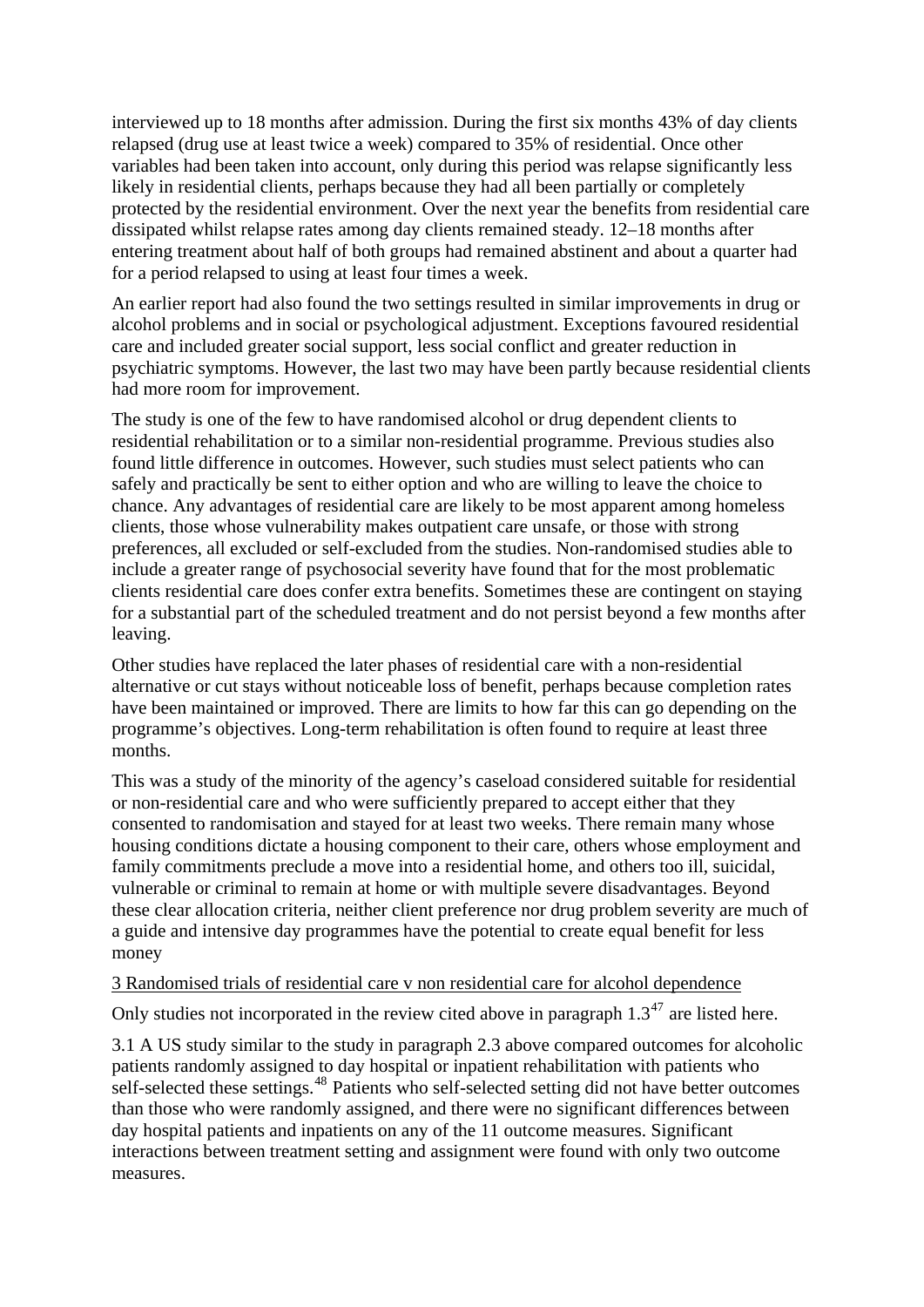interviewed up to 18 months after admission. During the first six months 43% of day clients relapsed (drug use at least twice a week) compared to 35% of residential. Once other variables had been taken into account, only during this period was relapse significantly less likely in residential clients, perhaps because they had all been partially or completely protected by the residential environment. Over the next year the benefits from residential care dissipated whilst relapse rates among day clients remained steady. 12–18 months after entering treatment about half of both groups had remained abstinent and about a quarter had for a period relapsed to using at least four times a week.

An earlier report had also found the two settings resulted in similar improvements in drug or alcohol problems and in social or psychological adjustment. Exceptions favoured residential care and included greater social support, less social conflict and greater reduction in psychiatric symptoms. However, the last two may have been partly because residential clients had more room for improvement.

The study is one of the few to have randomised alcohol or drug dependent clients to residential rehabilitation or to a similar non-residential programme. Previous studies also found little difference in outcomes. However, such studies must select patients who can safely and practically be sent to either option and who are willing to leave the choice to chance. Any advantages of residential care are likely to be most apparent among homeless clients, those whose vulnerability makes outpatient care unsafe, or those with strong preferences, all excluded or self-excluded from the studies. Non-randomised studies able to include a greater range of psychosocial severity have found that for the most problematic clients residential care does confer extra benefits. Sometimes these are contingent on staying for a substantial part of the scheduled treatment and do not persist beyond a few months after leaving.

Other studies have replaced the later phases of residential care with a non-residential alternative or cut stays without noticeable loss of benefit, perhaps because completion rates have been maintained or improved. There are limits to how far this can go depending on the programme's objectives. Long-term rehabilitation is often found to require at least three months.

This was a study of the minority of the agency's caseload considered suitable for residential or non-residential care and who were sufficiently prepared to accept either that they consented to randomisation and stayed for at least two weeks. There remain many whose housing conditions dictate a housing component to their care, others whose employment and family commitments preclude a move into a residential home, and others too ill, suicidal, vulnerable or criminal to remain at home or with multiple severe disadvantages. Beyond these clear allocation criteria, neither client preference nor drug problem severity are much of a guide and intensive day programmes have the potential to create equal benefit for less money

#### 3 Randomised trials of residential care v non residential care for alcohol dependence

Only studies not incorporated in the review cited above in paragraph  $1.3<sup>47</sup>$  $1.3<sup>47</sup>$  $1.3<sup>47</sup>$  are listed here.

3.1 A US study similar to the study in paragraph 2.3 above compared outcomes for alcoholic patients randomly assigned to day hospital or inpatient rehabilitation with patients who self-selected these settings.<sup>[48](#page-20-0)</sup> Patients who self-selected setting did not have better outcomes than those who were randomly assigned, and there were no significant differences between day hospital patients and inpatients on any of the 11 outcome measures. Significant interactions between treatment setting and assignment were found with only two outcome measures.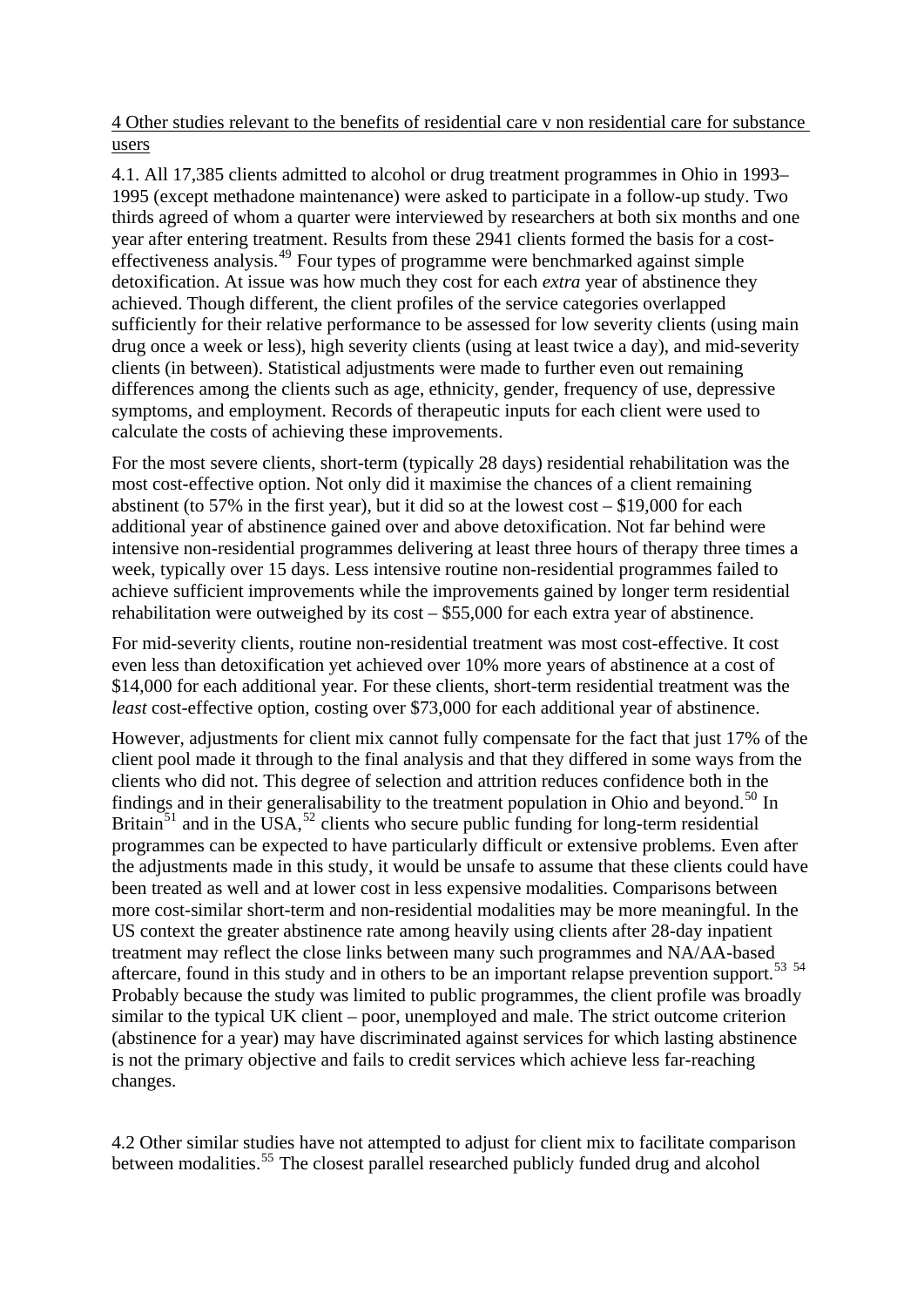4 Other studies relevant to the benefits of residential care v non residential care for substance users

4.1. All 17,385 clients admitted to alcohol or drug treatment programmes in Ohio in 1993– 1995 (except methadone maintenance) were asked to participate in a follow-up study. Two thirds agreed of whom a quarter were interviewed by researchers at both six months and one year after entering treatment. Results from these 2941 clients formed the basis for a costeffectiveness analysis.[49](#page-20-0) Four types of programme were benchmarked against simple detoxification. At issue was how much they cost for each *extra* year of abstinence they achieved. Though different, the client profiles of the service categories overlapped sufficiently for their relative performance to be assessed for low severity clients (using main drug once a week or less), high severity clients (using at least twice a day), and mid-severity clients (in between). Statistical adjustments were made to further even out remaining differences among the clients such as age, ethnicity, gender, frequency of use, depressive symptoms, and employment. Records of therapeutic inputs for each client were used to calculate the costs of achieving these improvements.

For the most severe clients, short-term (typically 28 days) residential rehabilitation was the most cost-effective option. Not only did it maximise the chances of a client remaining abstinent (to 57% in the first year), but it did so at the lowest cost – \$19,000 for each additional year of abstinence gained over and above detoxification. Not far behind were intensive non-residential programmes delivering at least three hours of therapy three times a week, typically over 15 days. Less intensive routine non-residential programmes failed to achieve sufficient improvements while the improvements gained by longer term residential rehabilitation were outweighed by its cost – \$55,000 for each extra year of abstinence.

For mid-severity clients, routine non-residential treatment was most cost-effective. It cost even less than detoxification yet achieved over 10% more years of abstinence at a cost of \$14,000 for each additional year. For these clients, short-term residential treatment was the *least* cost-effective option, costing over \$73,000 for each additional year of abstinence.

However, adjustments for client mix cannot fully compensate for the fact that just 17% of the client pool made it through to the final analysis and that they differed in some ways from the clients who did not. This degree of selection and attrition reduces confidence both in the findings and in their generalisability to the treatment population in Ohio and beyond.<sup>[50](#page-20-0)</sup> In Britain<sup>[51](#page-20-0)</sup> and in the USA,  $^{52}$  $^{52}$  $^{52}$  clients who secure public funding for long-term residential programmes can be expected to have particularly difficult or extensive problems. Even after the adjustments made in this study, it would be unsafe to assume that these clients could have been treated as well and at lower cost in less expensive modalities. Comparisons between more cost-similar short-term and non-residential modalities may be more meaningful. In the US context the greater abstinence rate among heavily using clients after 28-day inpatient treatment may reflect the close links between many such programmes and NA/AA-based aftercare, found in this study and in others to be an important relapse prevention support.<sup>[53](#page-20-0)</sup> <sup>[54](#page-20-0)</sup> Probably because the study was limited to public programmes, the client profile was broadly similar to the typical UK client – poor, unemployed and male. The strict outcome criterion (abstinence for a year) may have discriminated against services for which lasting abstinence is not the primary objective and fails to credit services which achieve less far-reaching changes.

4.2 Other similar studies have not attempted to adjust for client mix to facilitate comparison between modalities.<sup>[55](#page-20-0)</sup> The closest parallel researched publicly funded drug and alcohol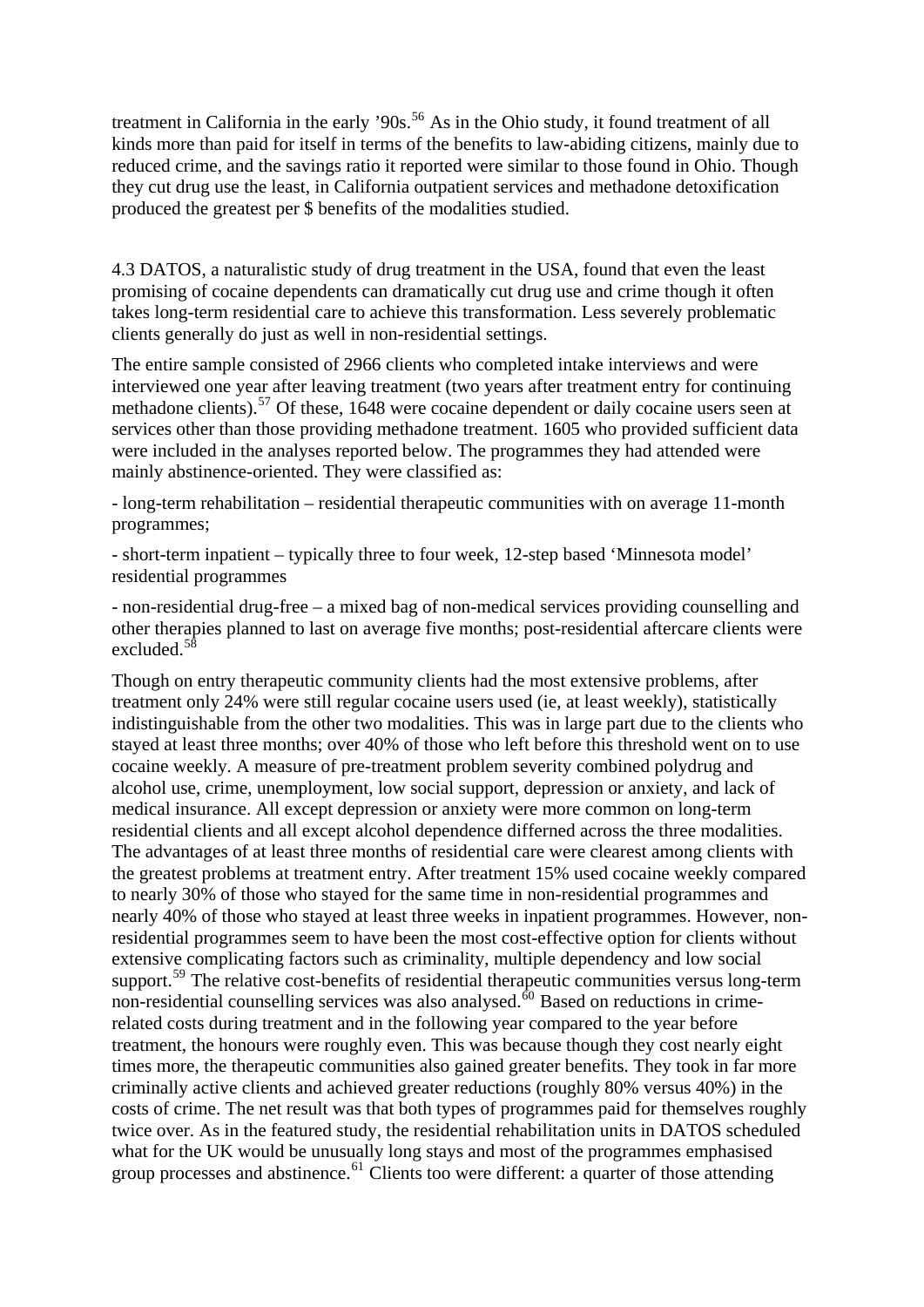treatment in California in the early '90s.<sup>[56](#page-20-0)</sup> As in the Ohio study, it found treatment of all kinds more than paid for itself in terms of the benefits to law-abiding citizens, mainly due to reduced crime, and the savings ratio it reported were similar to those found in Ohio. Though they cut drug use the least, in California outpatient services and methadone detoxification produced the greatest per \$ benefits of the modalities studied.

4.3 DATOS, a naturalistic study of drug treatment in the USA, found that even the least promising of cocaine dependents can dramatically cut drug use and crime though it often takes long-term residential care to achieve this transformation. Less severely problematic clients generally do just as well in non-residential settings.

The entire sample consisted of 2966 clients who completed intake interviews and were interviewed one year after leaving treatment (two years after treatment entry for continuing methadone clients).<sup>[57](#page-21-0)</sup> Of these, 1648 were cocaine dependent or daily cocaine users seen at services other than those providing methadone treatment. 1605 who provided sufficient data were included in the analyses reported below. The programmes they had attended were mainly abstinence-oriented. They were classified as:

- long-term rehabilitation – residential therapeutic communities with on average 11-month programmes;

- short-term inpatient – typically three to four week, 12-step based 'Minnesota model' residential programmes

- non-residential drug-free – a mixed bag of non-medical services providing counselling and other therapies planned to last on average five months; post-residential aftercare clients were excluded.[58](#page-21-0)

Though on entry therapeutic community clients had the most extensive problems, after treatment only 24% were still regular cocaine users used (ie, at least weekly), statistically indistinguishable from the other two modalities. This was in large part due to the clients who stayed at least three months; over 40% of those who left before this threshold went on to use cocaine weekly. A measure of pre-treatment problem severity combined polydrug and alcohol use, crime, unemployment, low social support, depression or anxiety, and lack of medical insurance. All except depression or anxiety were more common on long-term residential clients and all except alcohol dependence differned across the three modalities. The advantages of at least three months of residential care were clearest among clients with the greatest problems at treatment entry. After treatment 15% used cocaine weekly compared to nearly 30% of those who stayed for the same time in non-residential programmes and nearly 40% of those who stayed at least three weeks in inpatient programmes. However, nonresidential programmes seem to have been the most cost-effective option for clients without extensive complicating factors such as criminality, multiple dependency and low social support.<sup>[59](#page-21-0)</sup> The relative cost-benefits of residential therapeutic communities versus long-term non-residential counselling services was also analysed. $\frac{60}{10}$  $\frac{60}{10}$  $\frac{60}{10}$  Based on reductions in crimerelated costs during treatment and in the following year compared to the year before treatment, the honours were roughly even. This was because though they cost nearly eight times more, the therapeutic communities also gained greater benefits. They took in far more criminally active clients and achieved greater reductions (roughly 80% versus 40%) in the costs of crime. The net result was that both types of programmes paid for themselves roughly twice over. As in the featured study, the residential rehabilitation units in DATOS scheduled what for the UK would be unusually long stays and most of the programmes emphasised group processes and abstinence.<sup>[61](#page-21-0)</sup> Clients too were different: a quarter of those attending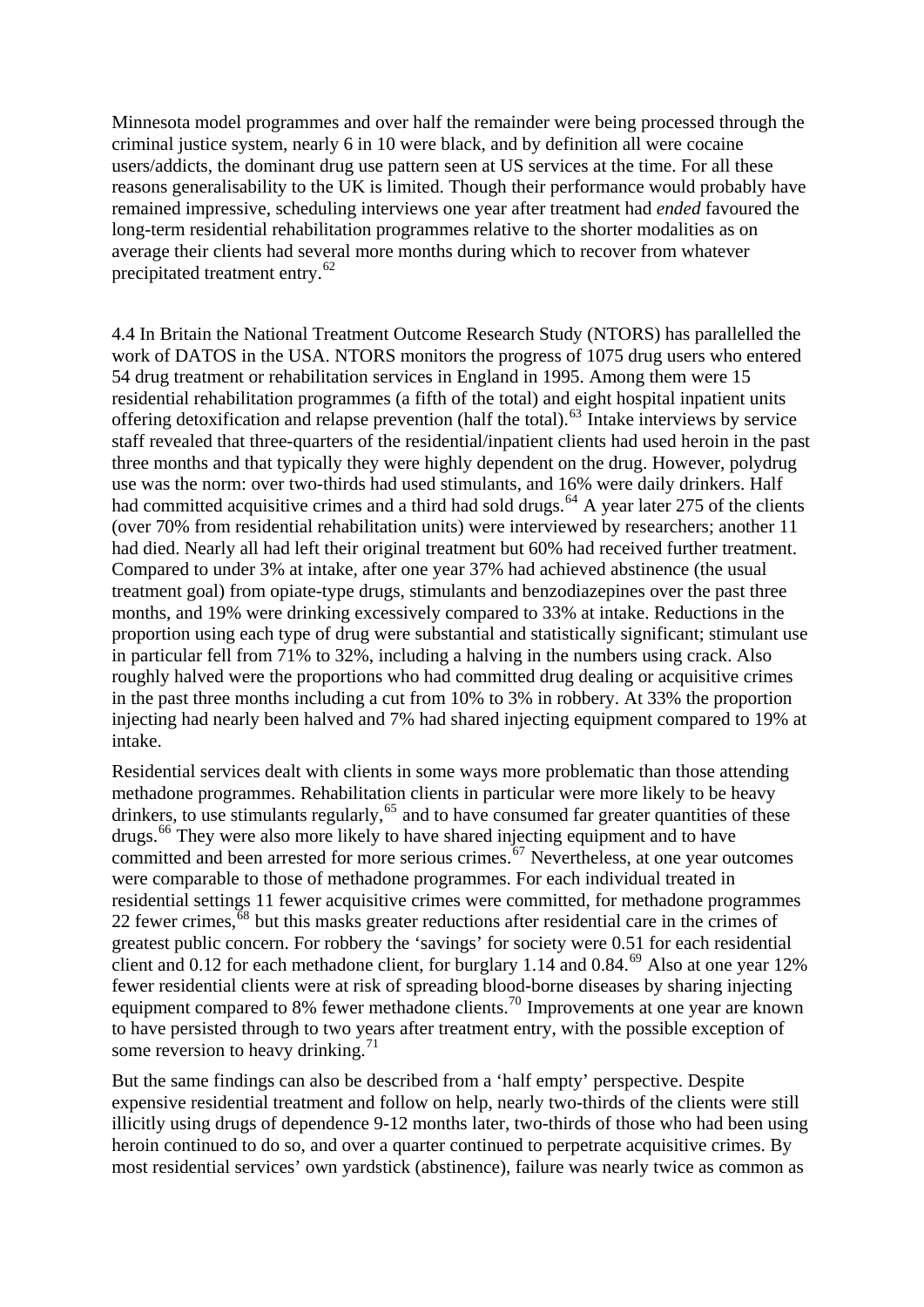Minnesota model programmes and over half the remainder were being processed through the criminal justice system, nearly 6 in 10 were black, and by definition all were cocaine users/addicts, the dominant drug use pattern seen at US services at the time. For all these reasons generalisability to the UK is limited. Though their performance would probably have remained impressive, scheduling interviews one year after treatment had *ended* favoured the long-term residential rehabilitation programmes relative to the shorter modalities as on average their clients had several more months during which to recover from whatever precipitated treatment entry.<sup>[62](#page-21-0)</sup>

4.4 In Britain the National Treatment Outcome Research Study (NTORS) has parallelled the work of DATOS in the USA. NTORS monitors the progress of 1075 drug users who entered 54 drug treatment or rehabilitation services in England in 1995. Among them were 15 residential rehabilitation programmes (a fifth of the total) and eight hospital inpatient units offering detoxification and relapse prevention (half the total).<sup>[63](#page-21-0)</sup> Intake interviews by service staff revealed that three-quarters of the residential/inpatient clients had used heroin in the past three months and that typically they were highly dependent on the drug. However, polydrug use was the norm: over two-thirds had used stimulants, and 16% were daily drinkers. Half had committed acquisitive crimes and a third had sold drugs.<sup>[64](#page-21-0)</sup> A year later 275 of the clients (over 70% from residential rehabilitation units) were interviewed by researchers; another 11 had died. Nearly all had left their original treatment but 60% had received further treatment. Compared to under 3% at intake, after one year 37% had achieved abstinence (the usual treatment goal) from opiate-type drugs, stimulants and benzodiazepines over the past three months, and 19% were drinking excessively compared to 33% at intake. Reductions in the proportion using each type of drug were substantial and statistically significant; stimulant use in particular fell from 71% to 32%, including a halving in the numbers using crack. Also roughly halved were the proportions who had committed drug dealing or acquisitive crimes in the past three months including a cut from 10% to 3% in robbery. At 33% the proportion injecting had nearly been halved and 7% had shared injecting equipment compared to 19% at intake.

Residential services dealt with clients in some ways more problematic than those attending methadone programmes. Rehabilitation clients in particular were more likely to be heavy drinkers, to use stimulants regularly,<sup>[65](#page-21-0)</sup> and to have consumed far greater quantities of these drugs.[66](#page-21-0) They were also more likely to have shared injecting equipment and to have committed and been arrested for more serious crimes.<sup> $67$ </sup> Nevertheless, at one year outcomes were comparable to those of methadone programmes. For each individual treated in residential settings 11 fewer acquisitive crimes were committed, for methadone programmes 22 fewer crimes, $\frac{68}{68}$  $\frac{68}{68}$  $\frac{68}{68}$  but this masks greater reductions after residential care in the crimes of greatest public concern. For robbery the 'savings' for society were 0.51 for each residential client and 0.12 for each methadone client, for burglary 1.14 and 0.84. $^{69}$  $^{69}$  $^{69}$  Also at one year 12% fewer residential clients were at risk of spreading blood-borne diseases by sharing injecting equipment compared to 8% fewer methadone clients.<sup>[70](#page-21-0)</sup> Improvements at one year are known to have persisted through to two years after treatment entry, with the possible exception of some reversion to heavy drinking.<sup>[71](#page-21-0)</sup>

But the same findings can also be described from a 'half empty' perspective. Despite expensive residential treatment and follow on help, nearly two-thirds of the clients were still illicitly using drugs of dependence 9-12 months later, two-thirds of those who had been using heroin continued to do so, and over a quarter continued to perpetrate acquisitive crimes. By most residential services' own yardstick (abstinence), failure was nearly twice as common as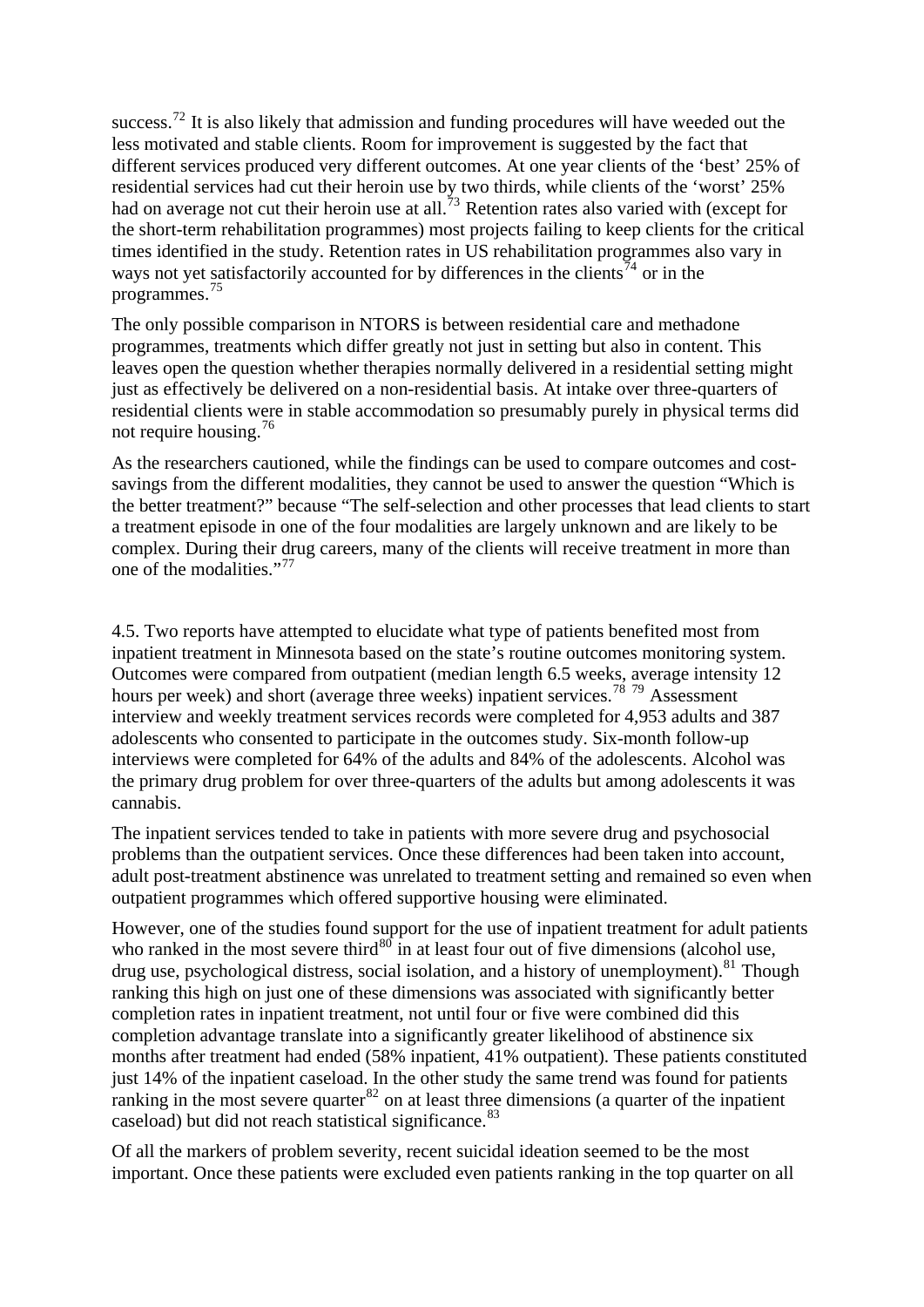success.<sup>[72](#page-21-0)</sup> It is also likely that admission and funding procedures will have weeded out the less motivated and stable clients. Room for improvement is suggested by the fact that different services produced very different outcomes. At one year clients of the 'best' 25% of residential services had cut their heroin use by two thirds, while clients of the 'worst' 25% had on average not cut their heroin use at all.<sup>[73](#page-21-0)</sup> Retention rates also varied with (except for the short-term rehabilitation programmes) most projects failing to keep clients for the critical times identified in the study. Retention rates in US rehabilitation programmes also vary in ways not yet satisfactorily accounted for by differences in the clients<sup>[74](#page-21-0)</sup> or in the programmes.[75](#page-21-0)

The only possible comparison in NTORS is between residential care and methadone programmes, treatments which differ greatly not just in setting but also in content. This leaves open the question whether therapies normally delivered in a residential setting might just as effectively be delivered on a non-residential basis. At intake over three-quarters of residential clients were in stable accommodation so presumably purely in physical terms did not require housing.[76](#page-21-0)

As the researchers cautioned, while the findings can be used to compare outcomes and costsavings from the different modalities, they cannot be used to answer the question "Which is the better treatment?" because "The self-selection and other processes that lead clients to start a treatment episode in one of the four modalities are largely unknown and are likely to be complex. During their drug careers, many of the clients will receive treatment in more than one of the modalities."[77](#page-21-0)

4.5. Two reports have attempted to elucidate what type of patients benefited most from inpatient treatment in Minnesota based on the state's routine outcomes monitoring system. Outcomes were compared from outpatient (median length 6.5 weeks, average intensity 12 hours per week) and short (average three weeks) inpatient services.<sup>[78](#page-21-0)</sup> <sup>[79](#page-21-0)</sup> Assessment interview and weekly treatment services records were completed for 4,953 adults and 387 adolescents who consented to participate in the outcomes study. Six-month follow-up interviews were completed for 64% of the adults and 84% of the adolescents. Alcohol was the primary drug problem for over three-quarters of the adults but among adolescents it was cannabis.

adult post-treatment abstinence was unrelated to treatment setting and remained so even when The inpatient services tended to take in patients with more severe drug and psychosocial problems than the outpatient services. Once these differences had been taken into account, outpatient programmes which offered supportive housing were eliminated.

However, one of the studies found support for the use of inpatient treatment for adult patients drug use, psychological distress, social isolation, and a history of unemployment).<sup>[81](#page-22-0)</sup> Though ranking this high on just one of these dimensions was associated with significantly better months after treatment had ended (58% inpatient, 41% outpatient). These patients constituted ranking in the most severe quarter  $82$  on at least three dimensions (a quarter of the inpatient caseload) but did not reach statistical significance.<sup>83</sup> who ranked in the most severe third<sup>[80](#page-22-0)</sup> in at least four out of five dimensions (alcohol use, completion rates in inpatient treatment, not until four or five were combined did this completion advantage translate into a significantly greater likelihood of abstinence six just 14% of the inpatient caseload. In the other study the same trend was found for patients

important. Once these patients were excluded even patients ranking in the top quarter on all Of all the markers of problem severity, recent suicidal ideation seemed to be the most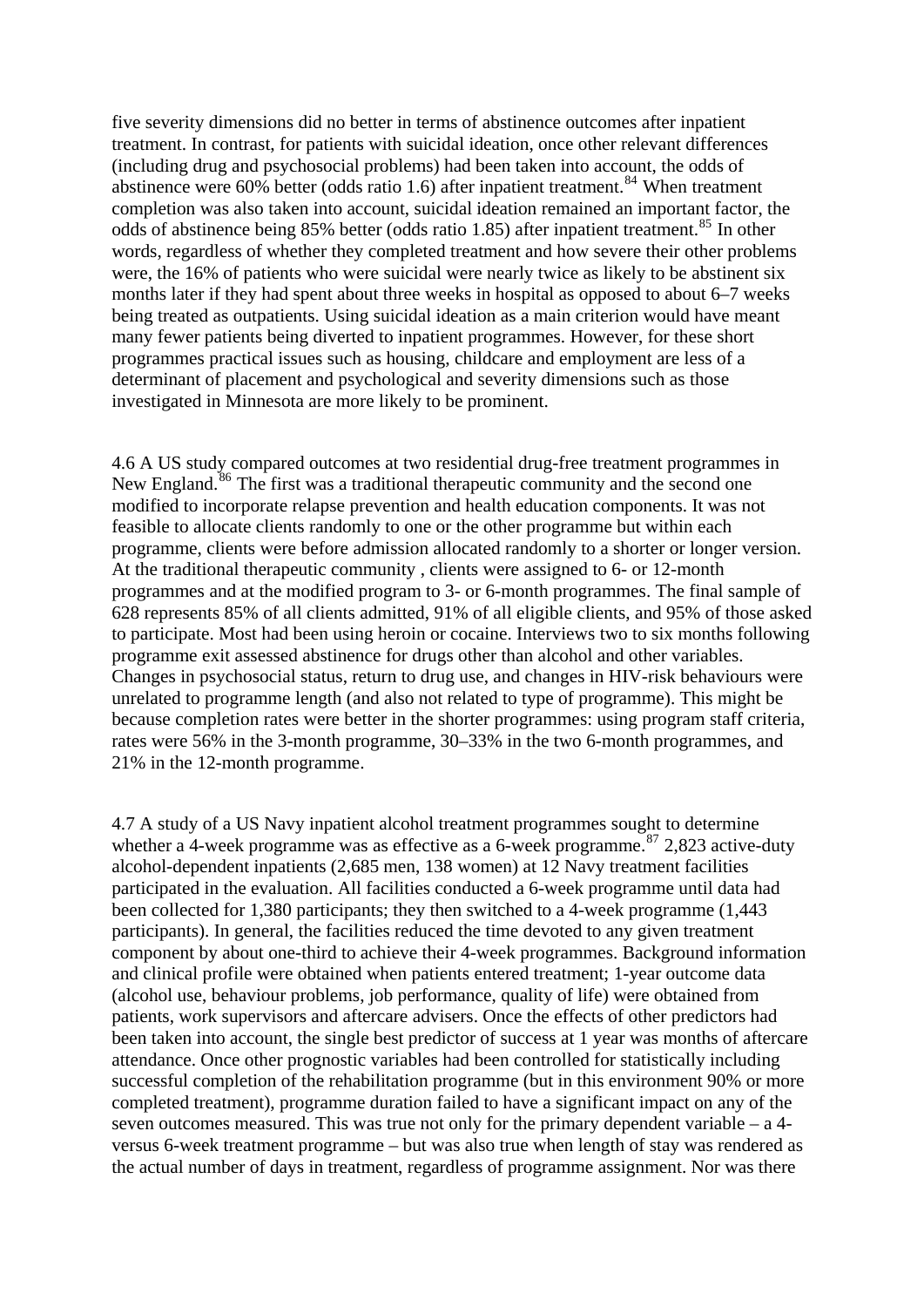five severity dimensions did no better in terms of abstinence outcomes after inpatient treatment. In contrast, for patients with suicidal ideation, once other relevant differenc es (including drug and psychosocial problems) had been taken into account, the odds of abstinence were 60% better (odds ratio 1.6) after inpatient treatment.<sup>[84](#page-22-0)</sup> When treatment completion was also taken into account, suicidal ideation remained an important factor, the being treated as outpatients. Using suicidal ideation as a main criterion would have meant programmes practical issues such as housing, childcare and employment are less of a determinant of placement and psychological and severity dimensions such as those investigated in Minnesota are more likely to be prominent. odds of abstinence being [85](#page-22-0)% better (odds ratio 1.85) after inpatient treatment.<sup>85</sup> In other words, regardless of whether they completed treatment and how severe their other problems were, the 16% of patients who were suicidal were nearly twice as likely to be abstinent six months later if they had spent about three weeks in hospital as opposed to about 6–7 weeks many fewer patients being diverted to inpatient programmes. However, for these short

4.6 A US study compared outcomes at two residential drug-free treatment programmes in modified to incorporate relapse prevention and health education components. It was not programme, clients were before admission allocated randomly to a shorter or longer version. to participate. Most had been using heroin or cocaine. Interviews two to six months following Changes in psychosocial status, return to drug use, and changes in HIV-risk behaviours were because completion rates were better in the shorter programmes: using program staff criteria, rates were 56% in the 3-month programme, 30–33% in the two 6-month programmes, and 21% in the 12-month programme. New England.<sup>[86](#page-22-0)</sup> The first was a traditional therapeutic community and the second one feasible to allocate clients randomly to one or the other programme but within each At the traditional therapeutic community , clients were assigned to 6- or 12-month programmes and at the modified program to 3- or 6-month programmes. The final sample of 628 represents 85% of all clients admitted, 91% of all eligible clients, and 95% of those asked programme exit assessed abstinence for drugs other than alcohol and other variables. unrelated to programme length (and also not related to type of programme). This might be

whether a 4-week programme was as effective as a 6-week programme.<sup>[87](#page-22-0)</sup> 2,823 active-duty been taken into account, the single best predictor of success at 1 year was months of aftercare 4.7 A study of a US Navy inpatient alcohol treatment programmes sought to determine alcohol-dependent inpatients (2,685 men, 138 women) at 12 Navy treatment facilities participated in the evaluation. All facilities conducted a 6-week programme until data had been collected for 1,380 participants; they then switched to a 4-week programme (1,443 participants). In general, the facilities reduced the time devoted to any given treatment component by about one-third to achieve their 4-week programmes. Background information and clinical profile were obtained when patients entered treatment; 1-year outcome data (alcohol use, behaviour problems, job performance, quality of life) were obtained from patients, work supervisors and aftercare advisers. Once the effects of other predictors had attendance. Once other prognostic variables had been controlled for statistically including successful completion of the rehabilitation programme (but in this environment 90% or more completed treatment), programme duration failed to have a significant impact on any of the seven outcomes measured. This was true not only for the primary dependent variable – a 4 versus 6-week treatment programme – but was also true when length of stay was rendered as the actual number of days in treatment, regardless of programme assignment. Nor was there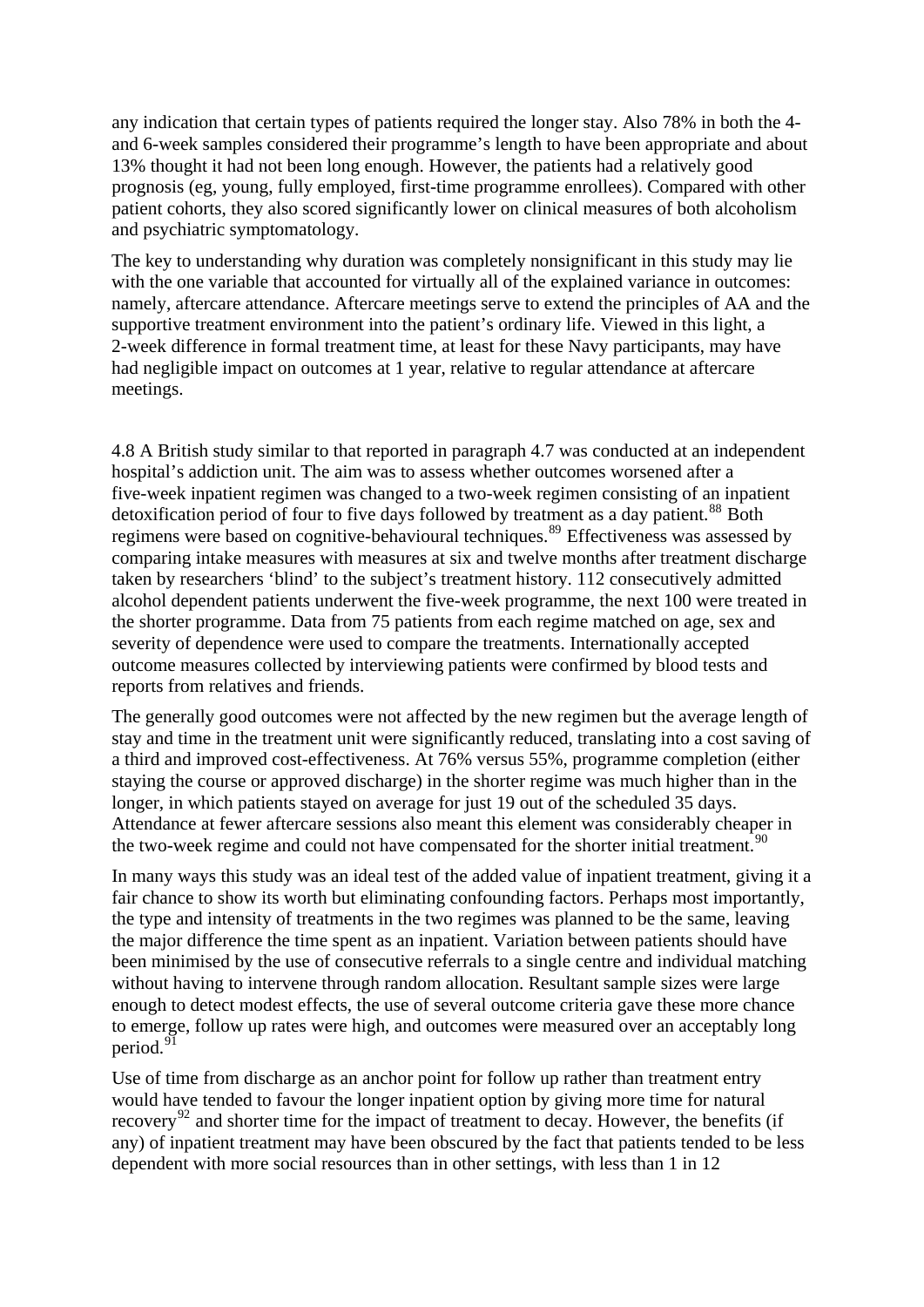any indication that certain types of patients required the longer stay. Also 78% in both the 4 and 6-week samples considered their programme's length to have been appropriate and about 13% thought it had not been long enough. However, the patients had a relatively good prognosis (eg, young, fully employed, first-time programme enrollees). Compared with other patient cohorts, they also scored significantly lower on clinical measures of both alcoholism and psychiatric symptomatology.

namely, aftercare attendance. Aftercare meetings serve to extend the principles of AA and the 2-week difference in formal treatment time, at least for these Navy participants, may have had negligible impact on outcomes at 1 year, relative to regular attendance at aftercare meetings. The key to understanding why duration was completely nonsignificant in this study may lie with the one variable that accounted for virtually all of the explained variance in outcomes: supportive treatment environment into the patient's ordinary life. Viewed in this light, a

4.8 A British study similar to that reported in paragraph 4.7 was conducted at an independent five-week inpatient regimen was changed to a two-week regimen consisting of an inpatient comparing intake measures with measures at six and twelve months after treatment discharge alcohol dependent patients underwent the five-week programme, the next 100 were treated in the shorter programme. Data from 75 patients from each regime matched on age, sex and outcome measures collected by interviewing patients were confirmed by blood tests and hospital's addiction unit. The aim was to assess whether outcomes worsened after a detoxification period of four to five days followed by treatment as a day patient.<sup>[88](#page-22-0)</sup> Both regimens were based on cognitive-behavioural techniques.<sup>[89](#page-22-0)</sup> Effectiveness was assessed by taken by researchers 'blind' to the subject's treatment history. 112 consecutively admitted severity of dependence were used to compare the treatments. Internationally accepted reports from relatives and friends.

staying the course or approved discharge) in the shorter regime was much higher than in the Attendance at fewer aftercare sessions also meant this element was considerably cheaper in The generally good outcomes were not affected by the new regimen but the average length of stay and time in the treatment unit were significantly reduced, translating into a cost saving of a third and improved cost-effectiveness. At 76% versus 55%, programme completion (either longer, in which patients stayed on average for just 19 out of the scheduled 35 days. the two-week regime and could not have compensated for the shorter initial treatment.<sup>[90](#page-22-0)</sup>

[fair chance to show its worth but eliminating confounding factors. Perhaps most importantly](#page-22-0), [been minimised by the use of consecutive referrals to a single centre and individual matchi](#page-22-0)ng [to emerge,](#page-22-0) follow up rates were high, and outcomes were measured over an acceptably long [In many ways this study was an ideal test of the added value of inpatient treatment, giving it a](#page-22-0)  [the type and intensity of treatments in the two regimes was planned to be the same, leaving](#page-22-0)  [the major difference the time spent as an inpatient. Variation between patients should have](#page-22-0)  [without having to intervene through random allocation. Resultant sample sizes were large](#page-22-0)  [enough to detect modest effects, the use of several outcome criteria gave these more chance](#page-22-0)  period. $91$ 

any) of inpatient treatment may have been obscured by the fact that patients tended to be less Use of time from discharge as an anchor point for follow up rather than treatment entry would have tended to favour the longer inpatient option by giving more time for natural recovery<sup>[92](#page-22-0)</sup> and shorter time for the impact of treatment to decay. However, the benefits (if dependent with more social resources than in other settings, with less than 1 in 12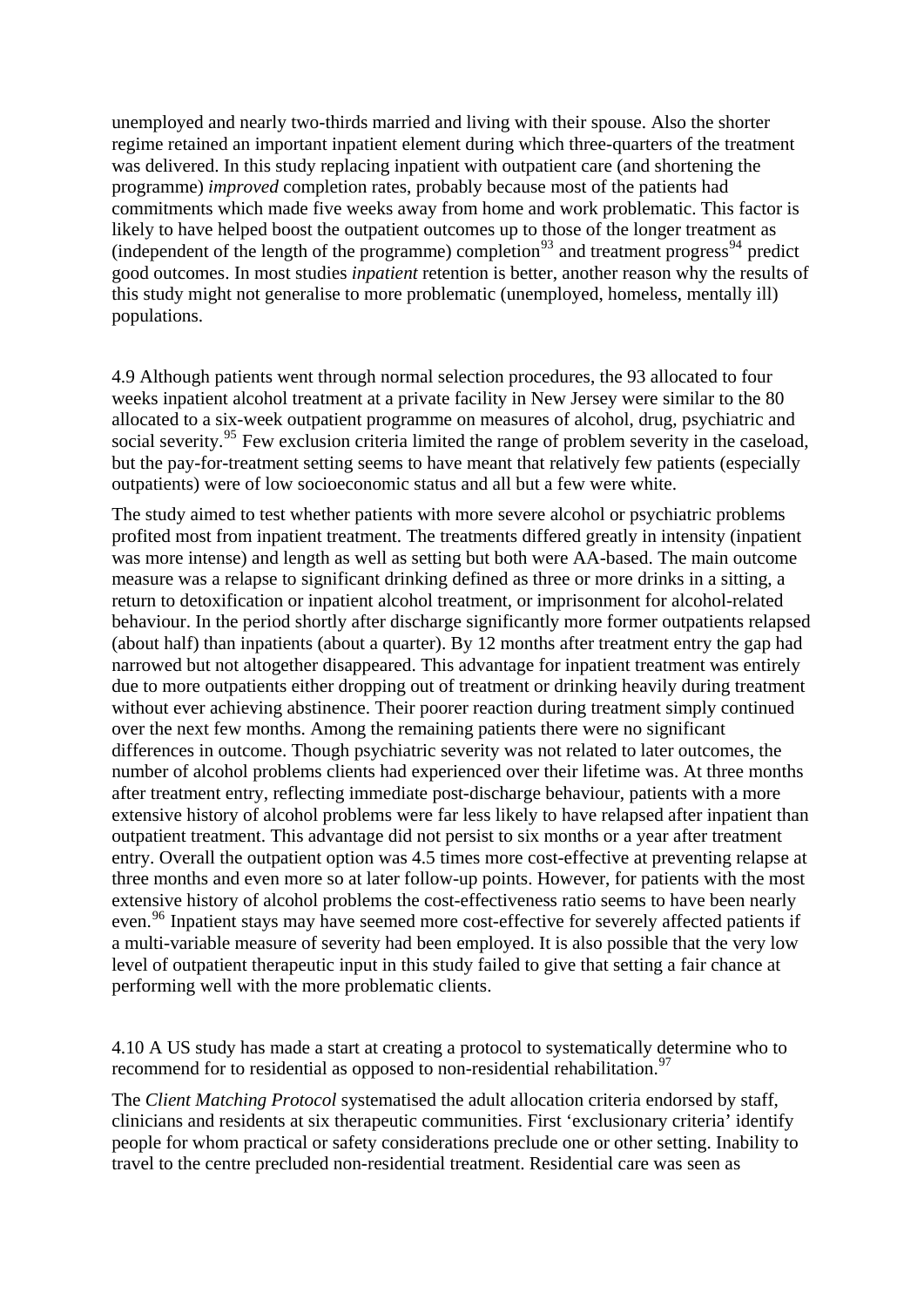unemployed and nearly two-thirds married and living with their spouse. Also the shorter regime retained an important inpatient element during which three-quarters of the treatm ent was delivered. In this study replacing inpatient with outpatient care (and shortening the programme) *improved* completion rates, probably because most of the patients had commitments which made five weeks away from home and work problematic. This factor is likely to have helped boost the outpatient outcomes up to those of the longer treatment as (independent of the length of the programme) completion<sup>93</sup> and treatment progress<sup>94</sup> predict good outcomes. In most studies *inpatient* retention is better, another reason why the results of this study might not generalise to more problematic (unemployed, homeless, mentally ill) populations.

but the pay-for-treatment setting seems to have meant that relatively few patients (especially 4.9 Although patients went through normal selection procedures, the 93 allocated to four weeks inpatient alcohol treatment at a private facility in New Jersey were similar to the 80 allocated to a six-week outpatient programme on measures of alcohol, drug, psychiatric and social severity.<sup>[95](#page-22-0)</sup> Few exclusion criteria limited the range of problem severity in the caseload, outpatients) were of low socioeconomic status and all but a few were white.

without ever achieving abstinence. Their poorer reaction during treatment simply continued number of alcohol problems clients had experienced over their lifetime was. At three months extensive history of alcohol problems were far less likely to have relapsed after inpatient than even.<sup>[96](#page-22-0)</sup> Inpatient stays may have seemed more cost-effective for severely affected patients if level of outpatient therapeutic input in this study failed to give that setting a fair chance at performing well with the more problematic clients. The study aimed to test whether patients with more severe alcohol or psychiatric problems profited most from inpatient treatment. The treatments differed greatly in intensity (inpatient was more intense) and length as well as setting but both were AA-based. The main outcome measure was a relapse to significant drinking defined as three or more drinks in a sitting, a return to detoxification or inpatient alcohol treatment, or imprisonment for alcohol-related behaviour. In the period shortly after discharge significantly more former outpatients relapsed (about half) than inpatients (about a quarter). By 12 months after treatment entry the gap had narrowed but not altogether disappeared. This advantage for inpatient treatment was entirely due to more outpatients either dropping out of treatment or drinking heavily during treatment over the next few months. Among the remaining patients there were no significant differences in outcome. Though psychiatric severity was not related to later outcomes, the after treatment entry, reflecting immediate post-discharge behaviour, patients with a more outpatient treatment. This advantage did not persist to six months or a year after treatment entry. Overall the outpatient option was 4.5 times more cost-effective at preventing relapse at three months and even more so at later follow-up points. However, for patients with the most extensive history of alcohol problems the cost-effectiveness ratio seems to have been nearly a multi-variable measure of severity had been employed. It is also possible that the very low

4.10 A US study has made a start at creating a protocol to systematically determine who to recommend for to residential as opposed to non-residential rehabilitation.<sup>97</sup>

people for whom practical or safety considerations preclude one or other setting. Inability to The *Client Matching Protocol* systematised the adult allocation criteria endorsed by staff, clinicians and residents at six therapeutic communities. First 'exclusionary criteria' identify travel to the centre precluded non-residential treatment. Residential care was seen as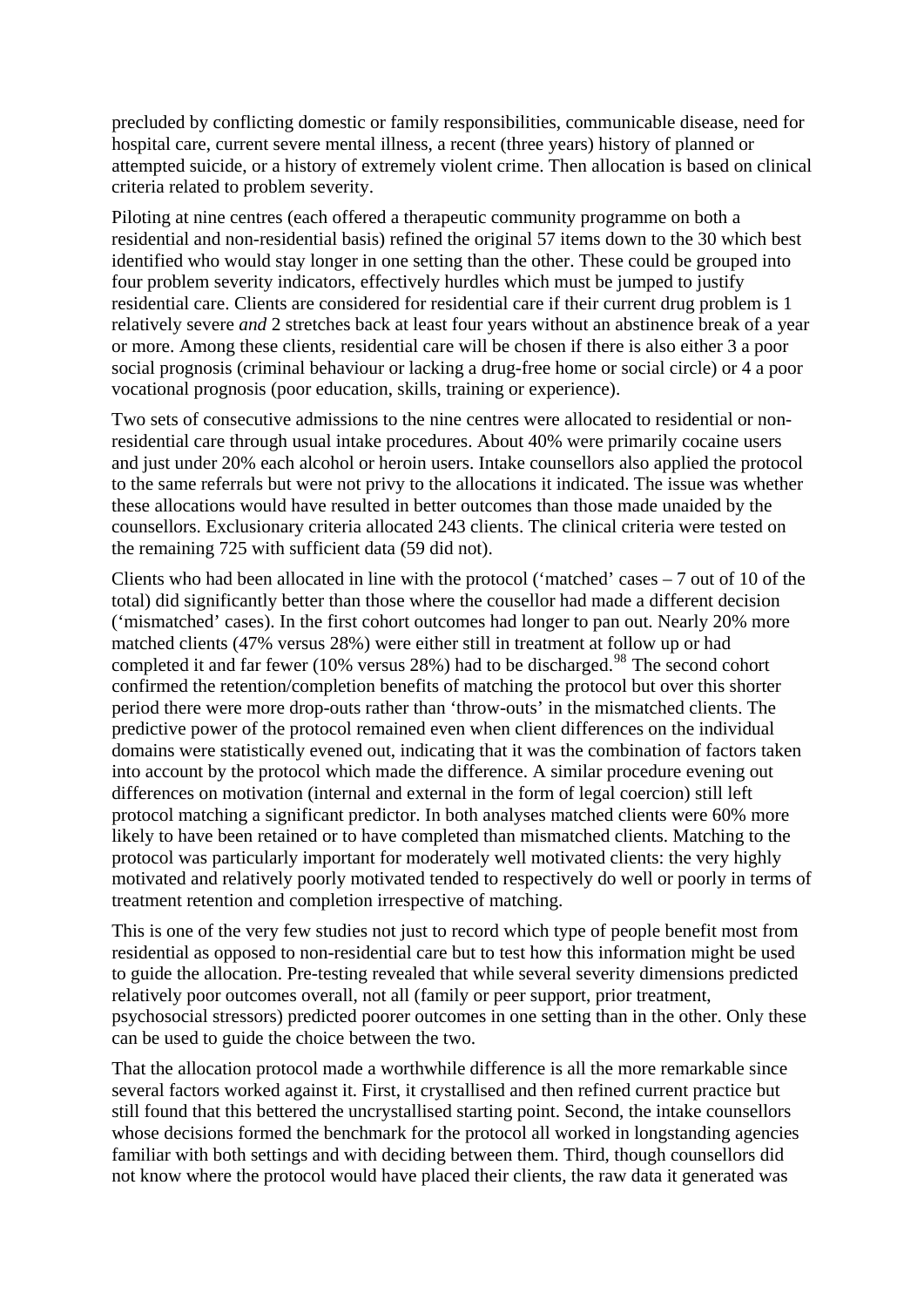precluded by conflicting domestic or family responsibilities, communicable disease, nee d for hospital care, current severe mental illness, a recent (three years) history of planned or attempted suicide, or a history of extr emely violent crime. Then allocation is based on clinical criteria related to problem severity.

identified who would stay longer in one setting than the other. These could be grouped into relatively severe *and* 2 stretches back at least four years without an abstinence break of a year social prognosis (criminal behaviour or lacking a drug-free home or social circle) or 4 a poor Piloting at nine centres (each offered a therapeutic community programme on both a residential and non-residential basis) refined the original 57 items down to the 30 which best four problem severity indicators, effectively hurdles which must be jumped to justify residential care. Clients are considered for residential care if their current drug problem is 1 or more. Among these clients, residential care will be chosen if there is also either 3 a poor vocational prognosis (poor education, skills, training or experience).

to the same referrals but were not privy to the allocations it indicated. The issue was whether counsellors. Exclusionary criteria allocated 243 clients. The clinical criteria were tested on Two sets of consecutive admissions to the nine centres were allocated to residential or nonresidential care through usual intake procedures. About 40% were primarily cocaine users and just under 20% each alcohol or heroin users. Intake counsellors also applied the protocol these allocations would have resulted in better outcomes than those made unaided by the the remaining 725 with sufficient data (59 did not).

Clients who had been allocated in line with the protocol ('matched' cases  $-7$  out of 10 of the ('mismatched' cases). In the first cohort outcomes had longer to pan out. Nearly 20% more domains were statistically evened out, indicating that it was the combination of factors taken into account by the protocol which made the difference. A similar procedure evening out motivated and relatively poorly motivated tended to respectively do well or poorly in terms of total) did significantly better than those where the cousellor had made a different decision matched clients (47% versus 28%) were either still in treatment at follow up or had completed it and far fewer (10% versus  $28\%$ ) had to be discharged.<sup>[98](#page-22-0)</sup> The second cohort confirmed the retention/completion benefits of matching the protocol but over this shorter period there were more drop-outs rather than 'throw-outs' in the mismatched clients. The predictive power of the protocol remained even when client differences on the individual differences on motivation (internal and external in the form of legal coercion) still left protocol matching a significant predictor. In both analyses matched clients were 60% more likely to have been retained or to have completed than mismatched clients. Matching to the protocol was particularly important for moderately well motivated clients: the very highly treatment retention and completion irrespective of matching.

to guide the allocation. Pre-testing revealed that while several severity dimensions predicted psychosocial stressors) predicted poorer outcomes in one setting than in the other. Only these This is one of the very few studies not just to record which type of people benefit most from residential as opposed to non-residential care but to test how this information might be used relatively poor outcomes overall, not all (family or peer support, prior treatment, can be used to guide the choice between the two.

whose decisions formed the benchmark for the protocol all worked in longstanding agencies not know where the protocol would have placed their clients, the raw data it generated was That the allocation protocol made a worthwhile difference is all the more remarkable since several factors worked against it. First, it crystallised and then refined current practice but still found that this bettered the uncrystallised starting point. Second, the intake counsellors familiar with both settings and with deciding between them. Third, though counsellors did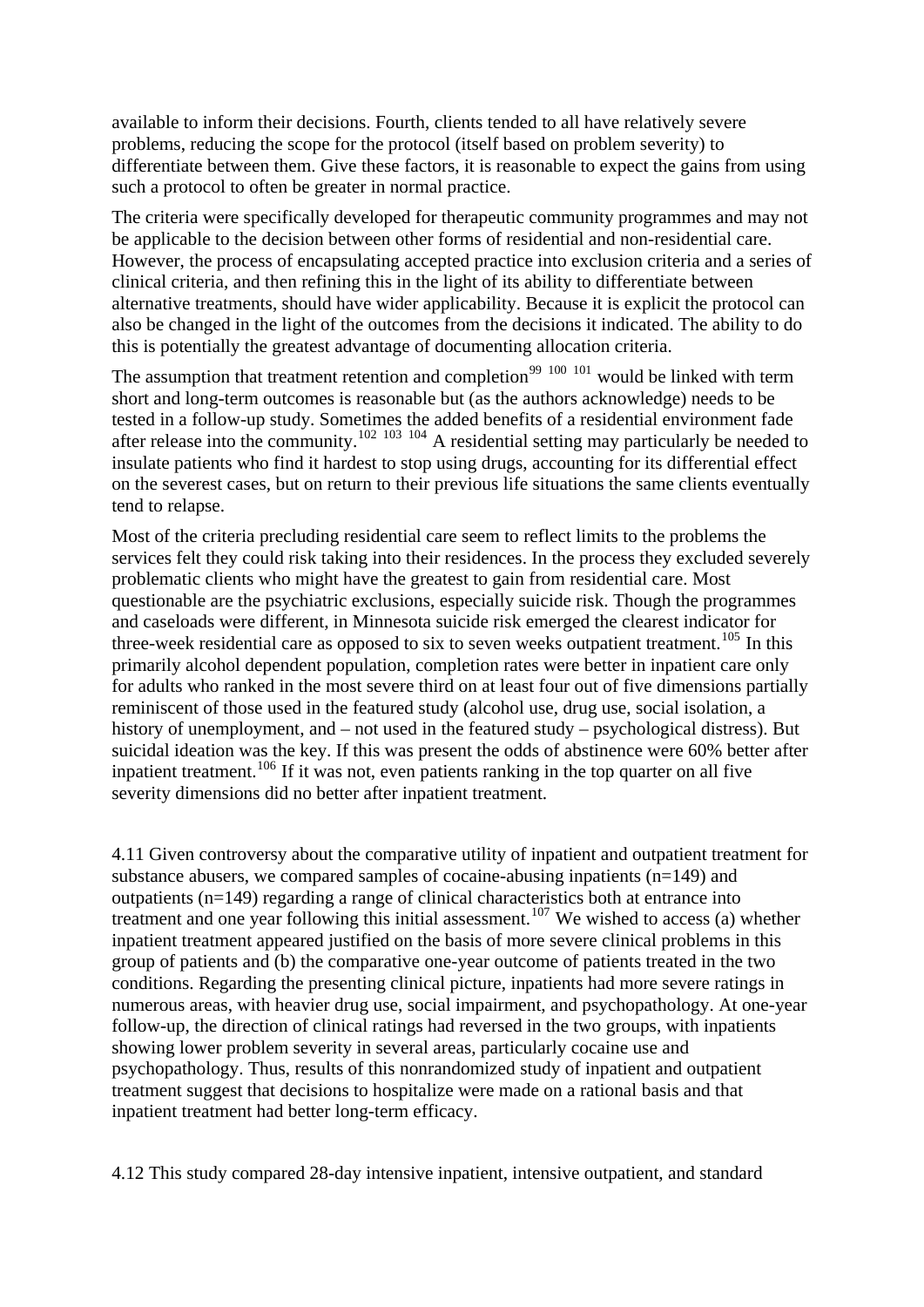available to inform their decisions. Fourth, clients tended to all have relatively seve re problems, reducing the scope for the protocol (itself based on problem severity) to differentiate between them. Give these factors, it is rea sonable to expect the gains from using such a protocol to often be greater in normal practice.

The criteria were specifically developed for therapeutic community programmes and may not However, the process of encapsulating accepted practice into exclusion criteria and a series of also be changed in the light of the outcomes from the decisions it indicated. The ability to do be applicable to the decision between other forms of residential and non-residential care. clinical criteria, and then refining this in the light of its ability to differentiate between alternative treatments, should have wider applicability. Because it is explicit the protocol can this is potentially the greatest advantage of documenting allocation criteria.

on the severest cases, but on return to their previous life situations the same clients eventually The assumption that treatment retention and completion<sup>[99](#page-22-0) [100](#page-22-0) [101](#page-22-0)</sup> would be linked with term short and long-term outcomes is reasonable but (as the authors acknowledge) needs to be tested in a follow-up study. Sometimes the added benefits of a residential environment fade after release into the community.<sup>[102](#page-22-0) [103](#page-22-0)</sup> <sup>[104](#page-22-0)</sup> A residential setting may particularly be needed to insulate patients who find it hardest to stop using drugs, accounting for its differential effect tend to relapse.

services felt they could risk taking into their residences. In the process they excluded severely questionable are the psychiatric exclusions, especially suicide risk. Though the programmes for adults who ranked in the most severe third on at least four out of five dimensions partially suicidal ideation was the key. If this was present the odds of abstinence were 60% better after inpatient treatment.<sup>[106](#page-23-0)</sup> If it was not, even patients ranking in the top quarter on all five severity dimensions did no better after inpatient treatment. Most of the criteria precluding residential care seem to reflect limits to the problems the problematic clients who might have the greatest to gain from residential care. Most and caseloads were different, in Minnesota suicide risk emerged the clearest indicator for three-week residential care as opposed to six to seven weeks outpatient treatment.<sup>[105](#page-23-0)</sup> In this primarily alcohol dependent population, completion rates were better in inpatient care only reminiscent of those used in the featured study (alcohol use, drug use, social isolation, a history of unemployment, and – not used in the featured study – psychological distress). But

4.11 Given controversy about the comparative utility of inpatient and outpatient treatment for treatment and one year following this initial assessment.<sup>[107](#page-23-0)</sup> We wished to access (a) whether numerous areas, with heavier drug use, social impairment, and psychopathology. At one-year follow-up, the direction of clinical ratings had reversed in the two groups, with inpatients psychopathology. Thus, results of this nonrandomized study of inpatient and outpatient treatment suggest that decisions to hospitalize were made on a rational basis and that inpatient treatment had better long-term efficacy. substance abusers, we compared samples of cocaine-abusing inpatients  $(n=149)$  and outpatients (n=149) regarding a range of clinical characteristics both at entrance into inpatient treatment appeared justified on the basis of more severe clinical problems in this group of patients and (b) the comparative one-year outcome of patients treated in the two conditions. Regarding the presenting clinical picture, inpatients had more severe ratings in showing lower problem severity in several areas, particularly cocaine use and

4.12 This study compared 28-day intensive inpatient, intensive outpatient, and standard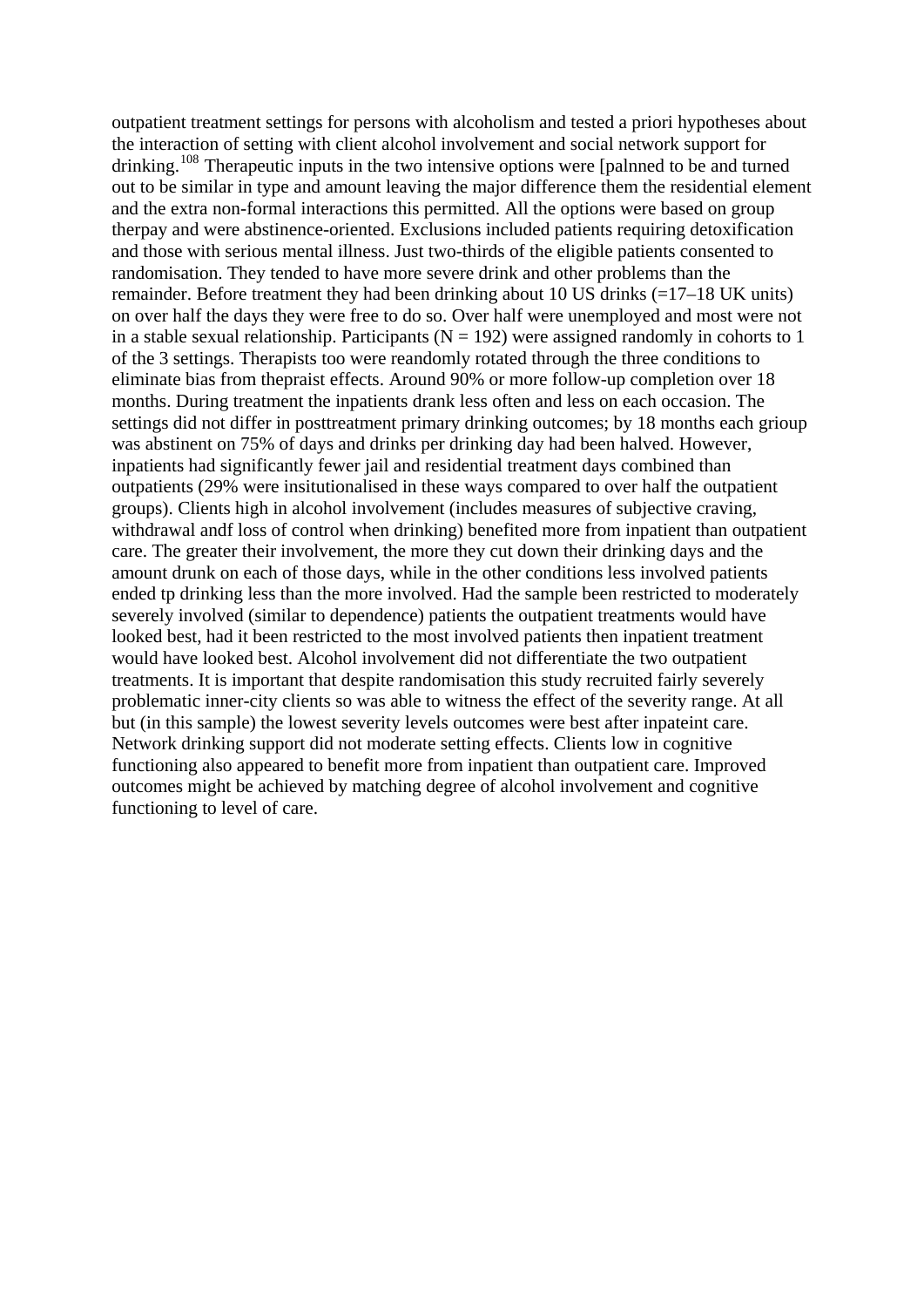outpatient treatment settings for persons with alcoholism and tested a priori hypotheses a bout the interaction of setting with client alcohol involvement and social network support for drinking.<sup>[108](#page-23-0)</sup> Therapeutic inputs in the two intensive options were [palnned to be and turned out to be similar in type and amount leaving the major difference them the residential element therpay and were abstinence-oriented. Exclusions included patients requiring detoxification and those with serious mental illness. Just two-thirds of the eligible patients consented to in a stable sexual relationship. Participants ( $N = 192$ ) were assigned randomly in cohorts to 1 settings did not differ in posttreatment primary drinking outcomes; by 18 months each grioup was abstinent on 75% of days and drinks per drinking day had been halved. However, outpatients (29% were insitutionalised in these ways compared to over half the outpatient withdrawal andf loss of control when drinking) benefited more from inpatient than outpatient ended tp drinking less than the more involved. Had the sample been restricted to moderately looked best, had it been restricted to the most involved patients then inpatient treatment problematic inner-city clients so was able to witness the effect of the severity range. At all but (in this sample) the lowest severity levels outcomes were best after inpateint care. outcomes might be achieved by matching degree of alcohol involvement and cognitive functioning to level of care. and the extra non-formal interactions this permitted. All the options were based on group randomisation. They tended to have more severe drink and other problems than the remainder. Before treatment they had been drinking about 10 US drinks (=17–18 UK units) on over half the days they were free to do so. Over half were unemployed and most were not of the 3 settings. Therapists too were reandomly rotated through the three conditions to eliminate bias from thepraist effects. Around 90% or more follow-up completion over 18 months. During treatment the inpatients drank less often and less on each occasion. The inpatients had significantly fewer jail and residential treatment days combined than groups). Clients high in alcohol involvement (includes measures of subjective craving, care. The greater their involvement, the more they cut down their drinking days and the amount drunk on each of those days, while in the other conditions less involved patients severely involved (similar to dependence) patients the outpatient treatments would have would have looked best. Alcohol involvement did not differentiate the two outpatient treatments. It is important that despite randomisation this study recruited fairly severely Network drinking support did not moderate setting effects. Clients low in cognitive functioning also appeared to benefit more from inpatient than outpatient care. Improved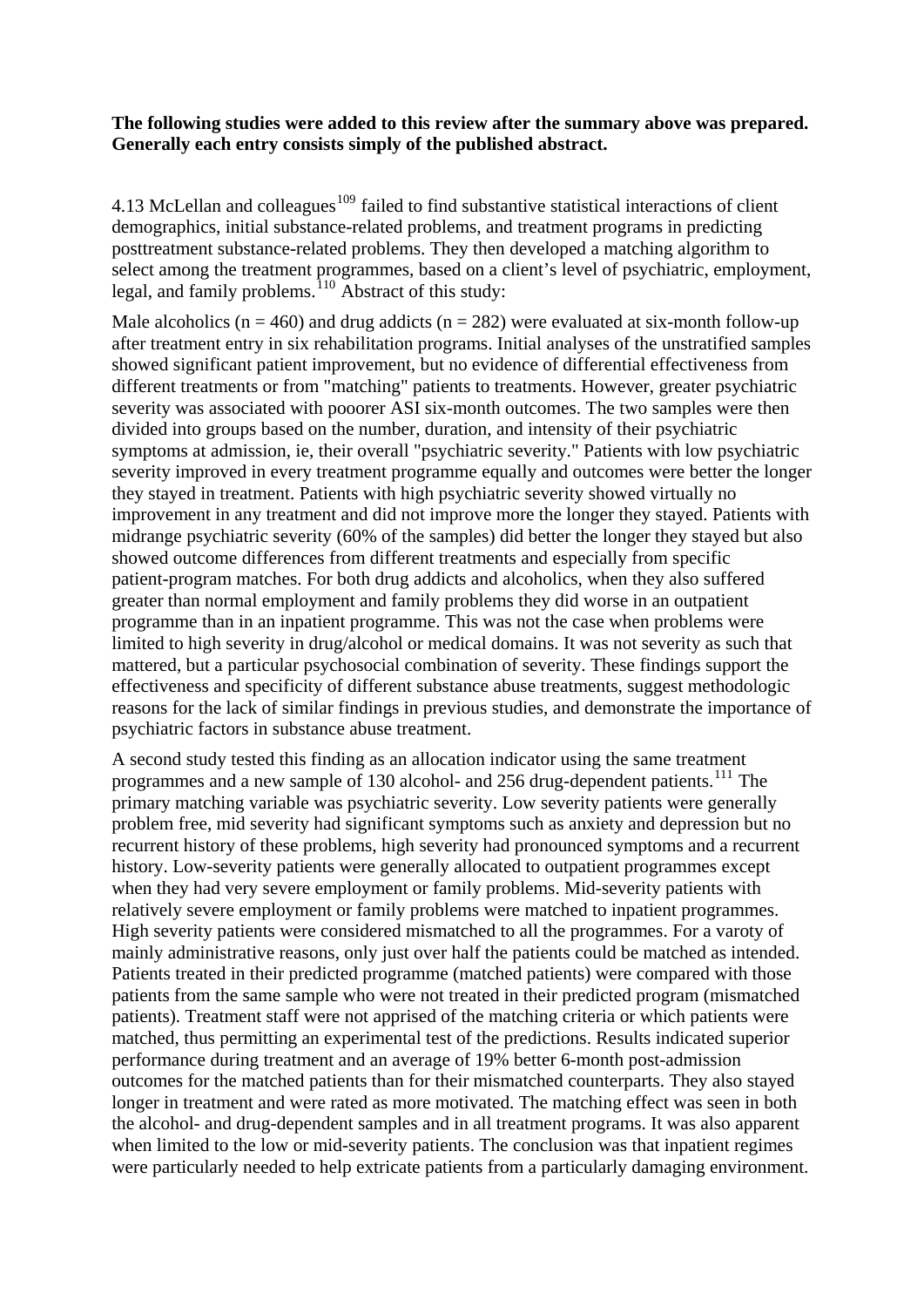### **The following studies were added to this review after the summary above was prepared. Generally each entry consists simply of the published abstract.**

4.13 McLellan and colleagues<sup>[109](#page-23-0)</sup> failed to find substantive statistical interactions of client demographics, initial substance-related problems, and treatment programs in predicting posttreatment substance-related problems. They then developed a matching algorithm to select among the treatment programmes, based on a client's level of psychiatric, employment, legal, and family problems.<sup>[110](#page-23-0)</sup> Abstract of this study:

Male alcoholics ( $n = 460$ ) and drug addicts ( $n = 282$ ) were evaluated at six-month follow-up after treatment entry in six rehabilitation programs. Initial analyses of the unstratified samples showed significant patient improvement, but no evidence of differential effectiveness from different treatments or from "matching" patients to treatments. However, greater psychiatric severity was associated with pooorer ASI six-month outcomes. The two samples were then divided into groups based on the number, duration, and intensity of their psychiatric symptoms at admission, ie, their overall "psychiatric severity." Patients with low psychiatric severity improved in every treatment programme equally and outcomes were better the longer they stayed in treatment. Patients with high psychiatric severity showed virtually no improvement in any treatment and did not improve more the longer they stayed. Patients with midrange psychiatric severity (60% of the samples) did better the longer they stayed but also showed outcome differences from different treatments and especially from specific patient-program matches. For both drug addicts and alcoholics, when they also suffered greater than normal employment and family problems they did worse in an outpatient programme than in an inpatient programme. This was not the case when problems were limited to high severity in drug/alcohol or medical domains. It was not severity as such that mattered, but a particular psychosocial combination of severity. These findings support the effectiveness and specificity of different substance abuse treatments, suggest methodologic reasons for the lack of similar findings in previous studies, and demonstrate the importance of psychiatric factors in substance abuse treatment.

A second study tested this finding as an allocation indicator using the same treatment programmes and a new sample of 130 alcohol- and 256 drug-dependent patients.<sup>[111](#page-23-0)</sup> The primary matching variable was psychiatric severity. Low severity patients were generally problem free, mid severity had significant symptoms such as anxiety and depression but no recurrent history of these problems, high severity had pronounced symptoms and a recurrent history. Low-severity patients were generally allocated to outpatient programmes except when they had very severe employment or family problems. Mid-severity patients with relatively severe employment or family problems were matched to inpatient programmes. High severity patients were considered mismatched to all the programmes. For a varoty of mainly administrative reasons, only just over half the patients could be matched as intended. Patients treated in their predicted programme (matched patients) were compared with those patients from the same sample who were not treated in their predicted program (mismatched patients). Treatment staff were not apprised of the matching criteria or which patients were matched, thus permitting an experimental test of the predictions. Results indicated superior performance during treatment and an average of 19% better 6-month post-admission outcomes for the matched patients than for their mismatched counterparts. They also stayed longer in treatment and were rated as more motivated. The matching effect was seen in both the alcohol- and drug-dependent samples and in all treatment programs. It was also apparent when limited to the low or mid-severity patients. The conclusion was that inpatient regimes were particularly needed to help extricate patients from a particularly damaging environment.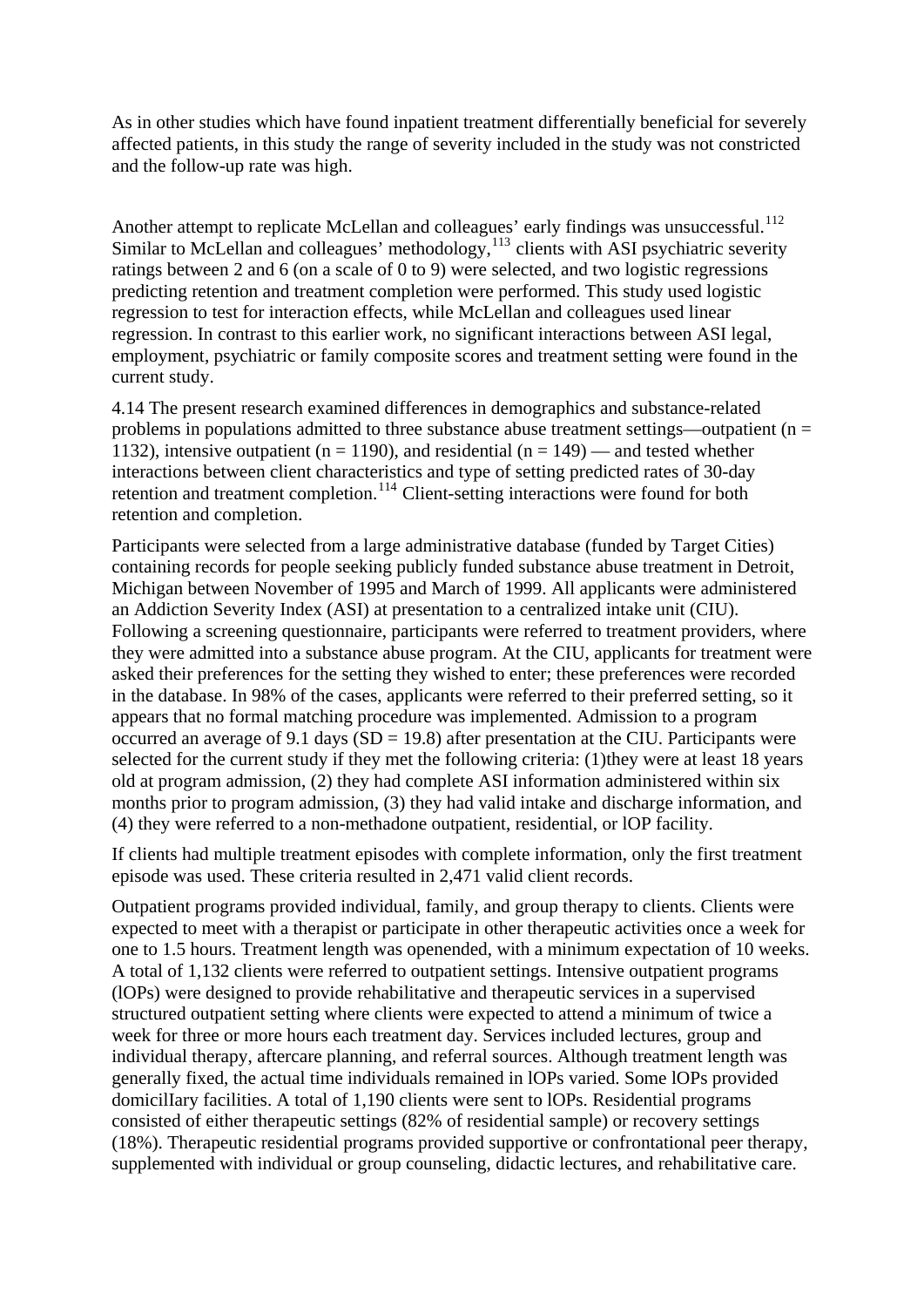As in other studies which have found inpatient treatment differentially beneficial for severely affected patients, in this study the range of severity included in the study was not constricted and the follow-up rate was high.

Another attempt to replicate McLellan and colleagues' early findings was unsuccessful.<sup>[112](#page-23-0)</sup> Similar to McLellan and colleagues' methodology,  $113$  clients with ASI psychiatric severity ratings between 2 and 6 (on a scale of 0 to 9) were selected, and two logistic regressions predicting retention and treatment completion were performed. This study used logistic regression to test for interaction effects, while McLellan and colleagues used linear regression. In contrast to this earlier work, no significant interactions between ASI legal, employment, psychiatric or family composite scores and treatment setting were found in the current study.

4.14 The present research examined differences in demographics and substance-related problems in populations admitted to three substance abuse treatment settings—outpatient ( $n =$ 1132), intensive outpatient ( $n = 1190$ ), and residential ( $n = 149$ ) — and tested whether interactions between client characteristics and type of setting predicted rates of 30-day retention and treatment completion.<sup>[114](#page-23-0)</sup> Client-setting interactions were found for both retention and completion.

Participants were selected from a large administrative database (funded by Target Cities) containing records for people seeking publicly funded substance abuse treatment in Detroit, Michigan between November of 1995 and March of 1999. All applicants were administered an Addiction Severity Index (ASI) at presentation to a centralized intake unit (CIU). Following a screening questionnaire, participants were referred to treatment providers, where they were admitted into a substance abuse program. At the CIU, applicants for treatment were asked their preferences for the setting they wished to enter; these preferences were recorded in the database. In 98% of the cases, applicants were referred to their preferred setting, so it appears that no formal matching procedure was implemented. Admission to a program occurred an average of 9.1 days  $(SD = 19.8)$  after presentation at the CIU. Participants were selected for the current study if they met the following criteria: (1)they were at least 18 years old at program admission, (2) they had complete ASI information administered within six months prior to program admission, (3) they had valid intake and discharge information, and (4) they were referred to a non-methadone outpatient, residential, or lOP facility.

If clients had multiple treatment episodes with complete information, only the first treatment episode was used. These criteria resulted in 2,471 valid client records.

Outpatient programs provided individual, family, and group therapy to clients. Clients were expected to meet with a therapist or participate in other therapeutic activities once a week for one to 1.5 hours. Treatment length was openended, with a minimum expectation of 10 weeks. A total of 1,132 clients were referred to outpatient settings. Intensive outpatient programs (lOPs) were designed to provide rehabilitative and therapeutic services in a supervised structured outpatient setting where clients were expected to attend a minimum of twice a week for three or more hours each treatment day. Services included lectures, group and individual therapy, aftercare planning, and referral sources. Although treatment length was generally fixed, the actual time individuals remained in lOPs varied. Some lOPs provided domicilIary facilities. A total of 1,190 clients were sent to lOPs. Residential programs consisted of either therapeutic settings (82% of residential sample) or recovery settings (18%). Therapeutic residential programs provided supportive or confrontational peer therapy, supplemented with individual or group counseling, didactic lectures, and rehabilitative care.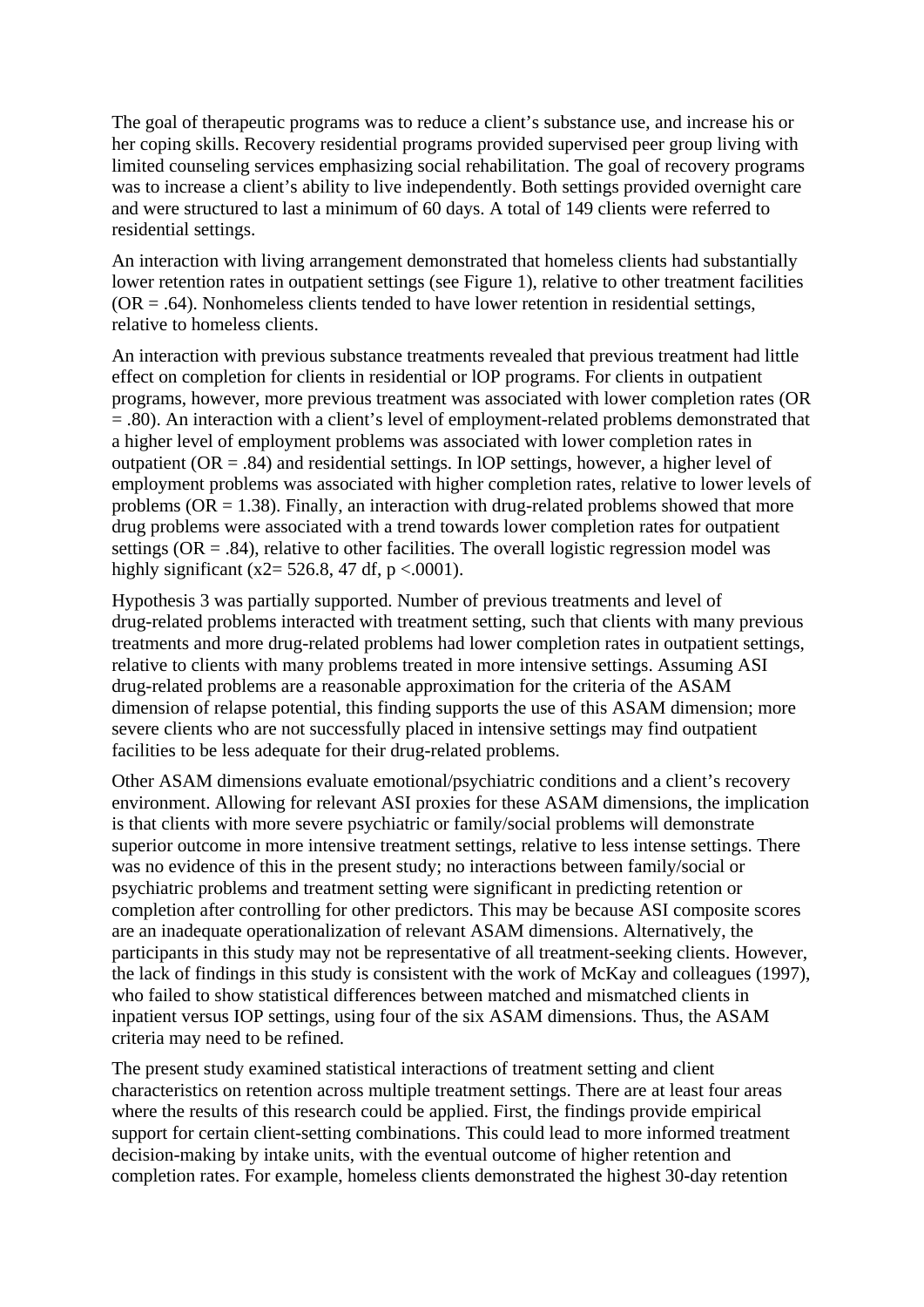The goal of therapeutic programs was to reduce a client's substance use, and increase his or her coping skills. Recovery residential programs provided supervised peer group living with limited counseling services emphasizing social rehabilitation. The goal of recovery programs was to increase a client's ability to live independently. Both settings provided overnight care and were structured to last a minimum of 60 days. A total of 149 clients were referred to residential settings.

An interaction with living arrangement demonstrated that homeless clients had substantially lower retention rates in outpatient settings (see Figure 1), relative to other treatment facilities  $(OR = .64)$ . Nonhomeless clients tended to have lower retention in residential settings, relative to homeless clients.

An interaction with previous substance treatments revealed that previous treatment had little effect on completion for clients in residential or lOP programs. For clients in outpatient programs, however, more previous treatment was associated with lower completion rates (OR = .80). An interaction with a client's level of employment-related problems demonstrated that a higher level of employment problems was associated with lower completion rates in outpatient ( $OR = .84$ ) and residential settings. In lOP settings, however, a higher level of employment problems was associated with higher completion rates, relative to lower levels of problems ( $OR = 1.38$ ). Finally, an interaction with drug-related problems showed that more drug problems were associated with a trend towards lower completion rates for outpatient settings ( $OR = .84$ ), relative to other facilities. The overall logistic regression model was highly significant (x2= 526.8, 47 df, p <.0001).

Hypothesis 3 was partially supported. Number of previous treatments and level of drug-related problems interacted with treatment setting, such that clients with many previous treatments and more drug-related problems had lower completion rates in outpatient settings, relative to clients with many problems treated in more intensive settings. Assuming ASI drug-related problems are a reasonable approximation for the criteria of the ASAM dimension of relapse potential, this finding supports the use of this ASAM dimension; more severe clients who are not successfully placed in intensive settings may find outpatient facilities to be less adequate for their drug-related problems.

Other ASAM dimensions evaluate emotional/psychiatric conditions and a client's recovery environment. Allowing for relevant ASI proxies for these ASAM dimensions, the implication is that clients with more severe psychiatric or family/social problems will demonstrate superior outcome in more intensive treatment settings, relative to less intense settings. There was no evidence of this in the present study; no interactions between family/social or psychiatric problems and treatment setting were significant in predicting retention or completion after controlling for other predictors. This may be because ASI composite scores are an inadequate operationalization of relevant ASAM dimensions. Alternatively, the participants in this study may not be representative of all treatment-seeking clients. However, the lack of findings in this study is consistent with the work of McKay and colleagues (1997), who failed to show statistical differences between matched and mismatched clients in inpatient versus IOP settings, using four of the six ASAM dimensions. Thus, the ASAM criteria may need to be refined.

The present study examined statistical interactions of treatment setting and client characteristics on retention across multiple treatment settings. There are at least four areas where the results of this research could be applied. First, the findings provide empirical support for certain client-setting combinations. This could lead to more informed treatment decision-making by intake units, with the eventual outcome of higher retention and completion rates. For example, homeless clients demonstrated the highest 30-day retention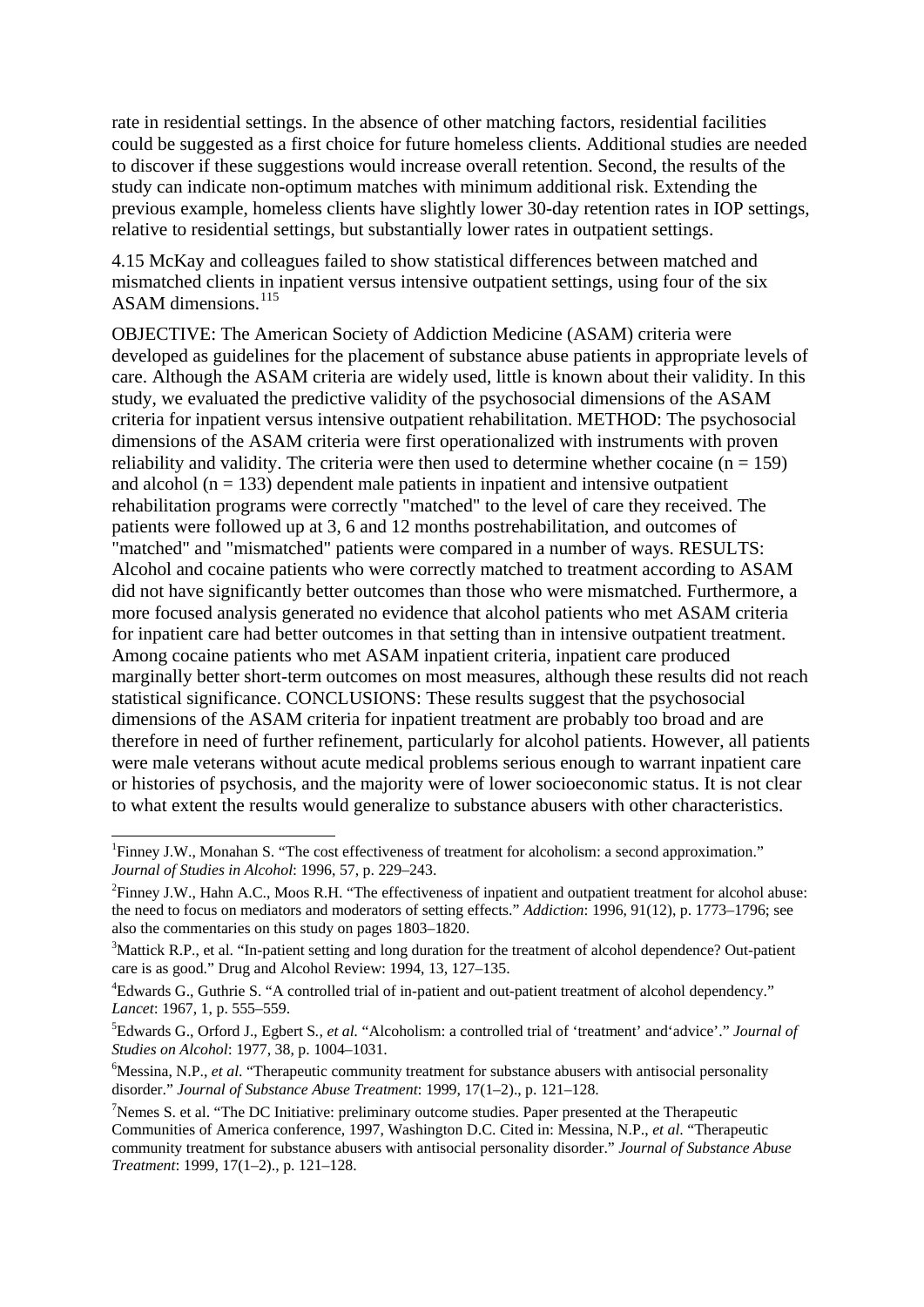<span id="page-18-1"></span>rate in residential settings. In the absence of other matching factors, residential facilities could be suggested as a first choice for future homeless clients. Additional studies are needed to discover if these suggestions would increase overall retention. Second, the results of the study can indicate non-optimum matches with minimum additional risk. Extending the previous example, homeless clients have slightly lower 30-day retention rates in IOP settings, relative to residential settings, but substantially lower rates in outpatient settings.

4.15 McKay and colleagues failed to show statistical differences between matched and mismatched clients in inpatient versus intensive outpatient settings, using four of the six ASAM dimensions.<sup>[115](#page-23-0)</sup>

OBJECTIVE: The American Society of Addiction Medicine (ASAM) criteria were developed as guidelines for the placement of substance abuse patients in appropriate levels of care. Although the ASAM criteria are widely used, little is known about their validity. In this study, we evaluated the predictive validity of the psychosocial dimensions of the ASAM criteria for inpatient versus intensive outpatient rehabilitation. METHOD: The psychosocial dimensions of the ASAM criteria were first operationalized with instruments with proven reliability and validity. The criteria were then used to determine whether cocaine  $(n = 159)$ and alcohol ( $n = 133$ ) dependent male patients in inpatient and intensive outpatient rehabilitation programs were correctly "matched" to the level of care they received. The patients were followed up at 3, 6 and 12 months postrehabilitation, and outcomes of "matched" and "mismatched" patients were compared in a number of ways. RESULTS: Alcohol and cocaine patients who were correctly matched to treatment according to ASAM did not have significantly better outcomes than those who were mismatched. Furthermore, a more focused analysis generated no evidence that alcohol patients who met ASAM criteria for inpatient care had better outcomes in that setting than in intensive outpatient treatment. Among cocaine patients who met ASAM inpatient criteria, inpatient care produced marginally better short-term outcomes on most measures, although these results did not reach statistical significance. CONCLUSIONS: These results suggest that the psychosocial dimensions of the ASAM criteria for inpatient treatment are probably too broad and are therefore in need of further refinement, particularly for alcohol patients. However, all patients were male veterans without acute medical problems serious enough to warrant inpatient care or histories of psychosis, and the majority were of lower socioeconomic status. It is not clear to what extent the results would generalize to substance abusers with other characteristics.

-

<span id="page-18-0"></span><sup>&</sup>lt;sup>1</sup>Finney J.W., Monahan S. "The cost effectiveness of treatment for alcoholism: a second approximation." *Journal of Studies in Alcohol*: 1996, 57, p. 229–243. 2

<sup>&</sup>lt;sup>2</sup>Finney J.W., Hahn A.C., Moos R.H. "The effectiveness of inpatient and outpatient treatment for alcohol abuse: the need to focus on mediators and moderators of setting effects." *Addiction*: 1996, 91(12), p. 1773–1796; see also the commentaries on this study on pages 1803–1820.

<sup>&</sup>lt;sup>3</sup>Mattick R.P., et al. "In-patient setting and long duration for the treatment of alcohol dependence? Out-patient care is as good." Drug and Alcohol Review: 1994, 13, 127–135.

<sup>4</sup> Edwards G., Guthrie S. "A controlled trial of in-patient and out-patient treatment of alcohol dependency." *Lancet*: 1967, 1, p. 555–559.

Edwards G., Orford J., Egbert S*., et al.* "Alcoholism: a controlled trial of 'treatment' and'advice'." *Journal of Studies on Alcohol*: 1977, 38, p. 1004–1031. 6

<sup>&</sup>lt;sup>6</sup>Messina, N.P., *et al.* "Therapeutic community treatment for substance abusers with antisocial personality disorder." *Journal of Substance Abuse Treatment*: 1999, 17(1-2)., p. 121-128.

 $\gamma$ Nemes S. et al. "The DC Initiative: preliminary outcome studies. Paper presented at the Therapeutic Communities of America conference, 1997, Washington D.C. Cited in: Messina, N.P., *et al*. "Therapeutic community treatment for substance abusers with antisocial personality disorder." *Journal of Substance Abuse Treatment*: 1999, 17(1–2)., p. 121–128.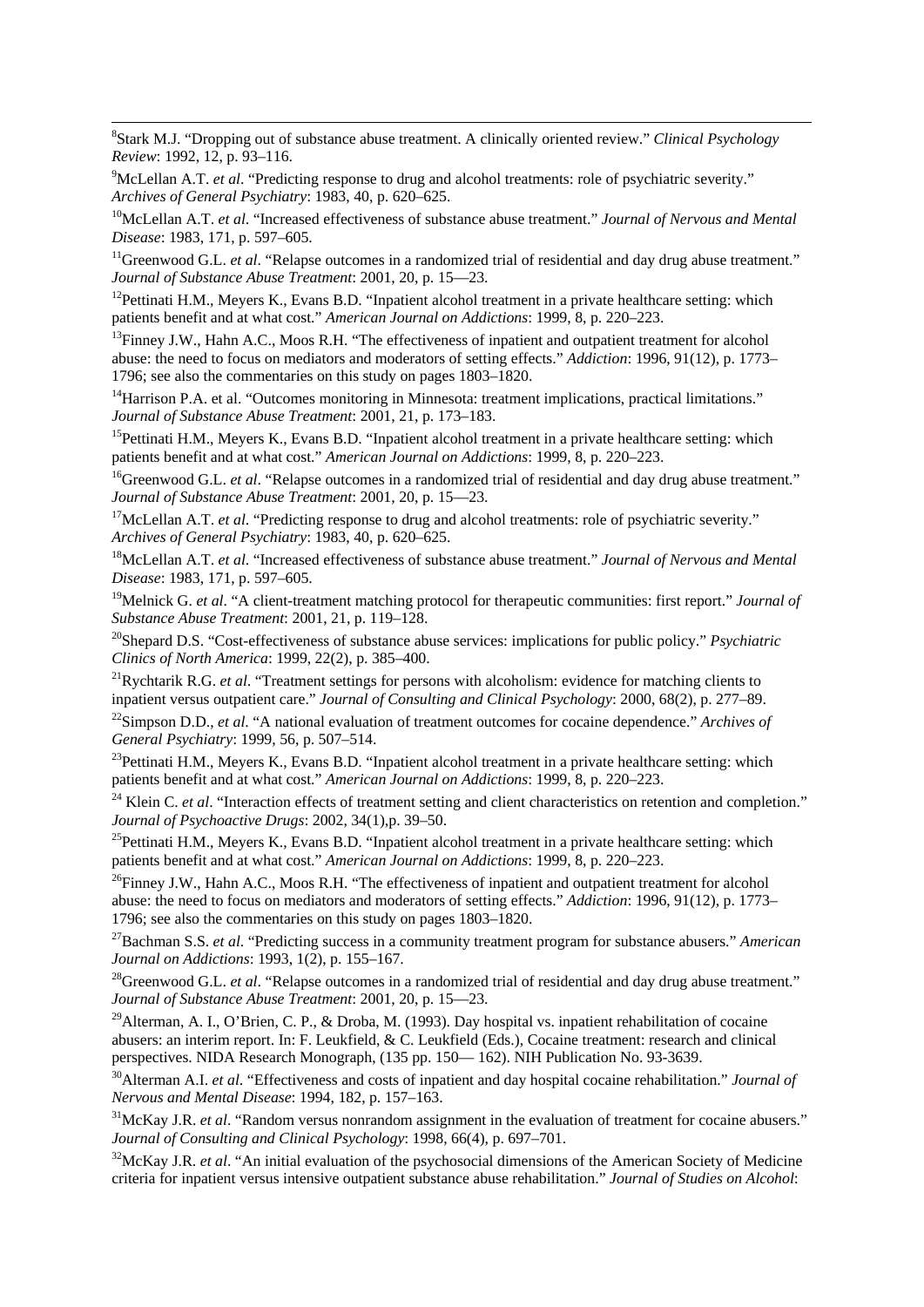<span id="page-19-0"></span>8 Stark M.J. "Dropping out of substance abuse treatment. A clinically oriented review." *Clinical Psychology Review*: 1992, 12, p. 93-116.

<sup>9</sup>McLellan A.T. *et al*. "Predicting response to drug and alcohol treatments: role of psychiatric severity."

1

*Archives of General Psychiatry*: 1983, 40, p. 620–625.<br><sup>10</sup>McLellan A.T. *et al.* "Increased effectiveness of substance abuse treatment." *Journal of Nervous and Mental Disease*: 1983, 171, p. 597–605.

<sup>11</sup>Greenwood G.L. *et al.* "Relapse outcomes in a randomized trial of residential and day drug abuse treatment." *Journal of Substance Abuse Treatment*: 2001, 20, p. 15—23.<br><sup>12</sup>Pettinati H.M., Meyers K., Evans B.D. "Inpatient alcohol treatment in a private healthcare setting: which

patients benefit and at what cost." *American Journal on Addictions*: 1999, 8, p. 220–223.<br><sup>13</sup>Finney J.W., Hahn A.C., Moos R.H. "The effectiveness of inpatient and outpatient treatment for alcohol

abuse: the need to focus on mediators and moderators of setting effects." *Addiction*: 1996, 91(12), p. 1773– 1796; see also the commentaries on this study on pages 1803–1820.

<sup>14</sup>Harrison P.A. et al. "Outcomes monitoring in Minnesota: treatment implications, practical limitations."<br>*Journal of Substance Abuse Treatment*: 2001, 21, p. 173–183.

<sup>15</sup>Pettinati H.M., Meyers K., Evans B.D. "Inpatient alcohol treatment in a private healthcare setting: which patients benefit and at what cost." *American Journal on Addictions*: 1999, 8, p. 220–223.<br><sup>16</sup>Greenwood G.L. *et al.* "Relapse outcomes in a randomized trial of residential and day drug abuse treatment."

*Journal of Substance Abuse Treatment*: 2001, 20, p. 15—23.<br><sup>17</sup>McLellan A.T. *et al.* "Predicting response to drug and alcohol treatments: role of psychiatric severity."

*Archives of General Psychiatry*: 1983, 40, p. 620–625.<br><sup>18</sup>McLellan A.T. *et al.* "Increased effectiveness of substance abuse treatment." *Journal of Nervous and Mental* 

*Disease*: 1983, 171, p. 597–605.

19Melnick G. *et al*. "A client-treatment matching protocol for therapeutic communities: first report." *Journal of Substance Abuse Treatment*: 2001, 21, p. 119–128.<br><sup>20</sup>Shepard D.S. "Cost-effectiveness of substance abuse services: implications for public policy." *Psychiatric* 

*Clinics of North America*: 1999, 22(2), p. 385–400.<br><sup>21</sup>Rychtarik R.G. *et al.* "Treatment settings for persons with alcoholism: evidence for matching clients to

inpatient versus outpatient care." Journal of Consulting and Clinical Psychology: 2000, 68(2), p. 277–89.<br><sup>22</sup>Simpson D.D., *et al.* "A national evaluation of treatment outcomes for cocaine dependence." Archives of General

<sup>23</sup>Pettinati H.M., Meyers K., Evans B.D. "Inpatient alcohol treatment in a private healthcare setting: which patients benefit and at what cost." *American Journal on Addictions*: 1999, 8, p. 220–223.

<sup>24</sup> Klein C. *et al*. "Interaction effects of treatment setting and client characteristics on retention and completion." *Journal of Psychoactive Drugs*: 2002, 34(1),p. 39–50.<br><sup>25</sup>Pettinati H.M., Meyers K., Evans B.D. "Inpatient alcohol treatment in a private healthcare setting: which

patients benefit and at what cost." *American Journal on Addictions*: 1999, 8, p. 220–223.<br><sup>26</sup>Finney J.W., Hahn A.C., Moos R.H. "The effectiveness of inpatient and outpatient treatment for alcohol

abuse: the need to focus on mediators and moderators of setting effects." *Addiction*: 1996, 91(12), p. 1773– 1796; see also the commentaries on this study on pages 1803–1820.

<sup>27</sup>Bachman S.S. *et al.* "Predicting success in a community treatment program for substance abusers." *American Journal on Addictions*: 1993, 1(2), p. 155–167.

<sup>28</sup>Greenwood G.L. *et al.* "Relapse outcomes in a randomized trial of residential and day drug abuse treatment." *Journal of Substance Abuse Treatment*: 2001, 20, p. 15—23.

<sup>29</sup>Alterman, A. I., O'Brien, C. P., & Droba, M. (1993). Day hospital vs. inpatient rehabilitation of cocaine abusers: an interim report. In: F. Leukfield, & C. Leukfield (Eds.), Cocaine treatment: research and clinical perspectives. NIDA Research Monograph, (135 pp. 150— 162). NIH Publication No. 93-3639.

<sup>30</sup>Alterman A.I. *et al.* "Effectiveness and costs of inpatient and day hospital cocaine rehabilitation." *Journal of Nervous and Mental Disease*: 1994, 182, p. 157–163.

<sup>31</sup>McKay J.R. *et al.* "Random versus nonrandom assignment in the evaluation of treatment for cocaine abusers." *Journal of Consulting and Clinical Psychology*: 1998, 66(4), p. 697–701.<br><sup>32</sup>McKay J.R. *et al.* "An initial evaluation of the psychosocial dimensions of the American Society of Medicine

criteria for inpatient versus intensive outpatient substance abuse rehabilitation." *Journal of Studies on Alcohol*: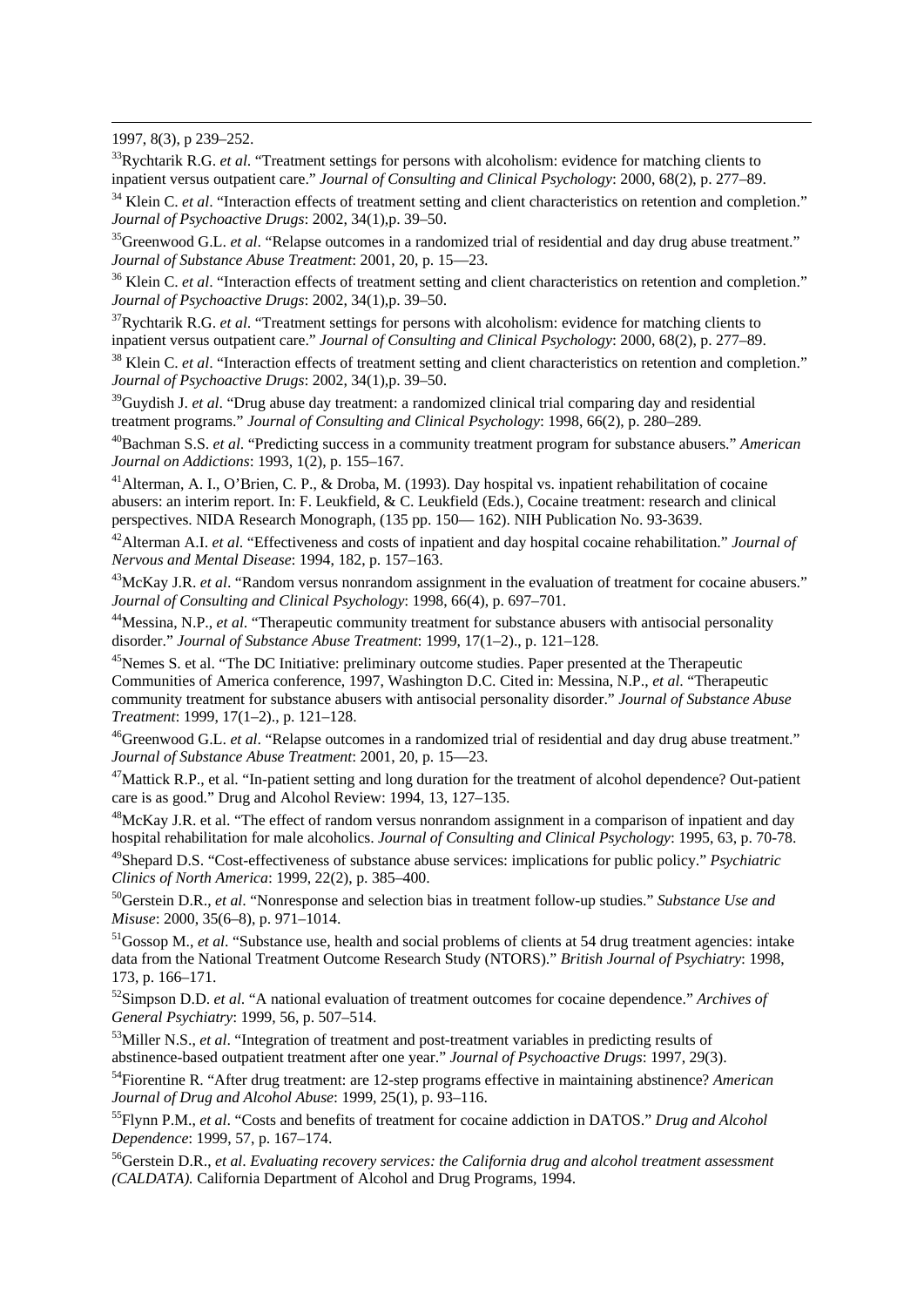1997, 8(3), p 239–252.

<span id="page-20-0"></span>1

33Rychtarik R.G. *et al*. "Treatment settings for persons with alcoholism: evidence for matching clients to inpatient versus outpatient care." Journal of Consulting and Clinical Psychology: 2000, 68(2), p. 277–89.<br><sup>34</sup> Klein C. *et al.* "Interaction effects of treatment setting and client characteristics on retention and complet

*Journal of Psychoactive Drugs*: 2002, 34(1), p. 39–50.<br><sup>35</sup>Greenwood G.L. *et al.* "Relapse outcomes in a randomized trial of residential and day drug abuse treatment."

*Journal of Substance Abuse Treatment*: 2001, 20, p. 15—23.<br><sup>36</sup> Klein C. *et al*. "Interaction effects of treatment setting and client characteristics on retention and completion."<br>*Journal of Psychoactive Drugs*: 2002, 3

<sup>37</sup>Rychtarik R.G. *et al.* "Treatment settings for persons with alcoholism: evidence for matching clients to inpatient versus outpatient care." *Journal of Consulting and Clinical Psychology*: 2000, 68(2), p. 277–89.

<sup>38</sup> Klein C. *et al.* "Interaction effects of treatment setting and client characteristics on retention and completion." *Journal of Psychoactive Drugs*: 2002, 34(1),p. 39–50.

<sup>39</sup>Guydish J. *et al.* "Drug abuse day treatment: a randomized clinical trial comparing day and residential treatment programs." Journal of Consulting and Clinical Psychology: 1998, 66(2), p. 280–289.

<sup>40</sup>Bachman S.S. *et al.* "Predicting success in a community treatment program for substance abusers." *American Journal on Addictions*: 1993, 1(2), p. 155–167.<br><sup>41</sup>Alterman, A. I., O'Brien, C. P., & Droba, M. (1993). Day hospital vs. inpatient rehabilitation of cocaine

abusers: an interim report. In: F. Leukfield, & C. Leukfield (Eds.), Cocaine treatment: research and clinical perspectives. NIDA Research Monograph, (135 pp. 150— 162). NIH Publication No. 93-3639.

42Alterman A.I. *et al*. "Effectiveness and costs of inpatient and day hospital cocaine rehabilitation." *Journal of* 

*Nervous and Mental Disease*: 1994, 182, p. 157–163.<br><sup>43</sup>McKay J.R. *et al.* "Random versus nonrandom assignment in the evaluation of treatment for cocaine abusers."<br>*Journal of Consulting and Clinical Psychology*: 1998, 6

<sup>44</sup>Messina, N.P., *et al.* "Therapeutic community treatment for substance abusers with antisocial personality disorder." *Journal of Substance Abuse Treatment*: 1999, 17(1–2)., p. 121–128.<br><sup>45</sup>Nemes S. et al. "The DC Initiative: preliminary outcome studies. Paper presented at the Therapeutic

Communities of America conference, 1997, Washington D.C. Cited in: Messina, N.P., *et al*. "Therapeutic community treatment for substance abusers with antisocial personality disorder." *Journal of Substance Abuse* 

*Treatment*: 1999, 17(1–2)., p. 121–128.<br><sup>46</sup>Greenwood G.L. *et al.* "Relapse outcomes in a randomized trial of residential and day drug abuse treatment."<br>*Journal of Substance Abuse Treatment*: 2001, 20, p. 15—23.

<sup>47</sup>Mattick R.P., et al. "In-patient setting and long duration for the treatment of alcohol dependence? Out-patient care is as good." Drug and Alcohol Review: 1994, 13, 127–135.

<sup>48</sup>McKay J.R. et al. "The effect of random versus nonrandom assignment in a comparison of inpatient and day hospital rehabilitation for male alcoholics. *Journal of Consulting and Clinical Psychology*: 1995, 63, p. 70-78.

49Shepard D.S. "Cost-effectiveness of substance abuse services: implications for public policy." *Psychiatric Clinics of North America*: 1999, 22(2), p. 385–400.<br><sup>50</sup>Gerstein D.R., *et al.* "Nonresponse and selection bias in treatment follow-up studies." *Substance Use and* 

*Misuse*: 2000, 35(6–8), p. 971–1014.<br><sup>51</sup>Gossop M., *et al.* "Substance use, health and social problems of clients at 54 drug treatment agencies: intake

data from the National Treatment Outcome Research Study (NTORS)." *British Journal of Psychiatry*: 1998, 173, p. 166–171.

52Simpson D.D. *et al*. "A national evaluation of treatment outcomes for cocaine dependence." *Archives of General Psychiatry*: 1999, 56, p. 507–514.<br><sup>53</sup>Miller N.S., *et al.* "Integration of treatment and post-treatment variables in predicting results of

abstinence-based outpatient treatment after one year." *Journal of Psychoactive Drugs*: 1997, 29(3). 54Fiorentine R. "After drug treatment: are 12-step programs effective in maintaining abstinence? *American* 

*Journal of Drug and Alcohol Abuse*: 1999, 25(1), p. 93–116.<br><sup>55</sup>Flynn P.M., *et al.* "Costs and benefits of treatment for cocaine addiction in DATOS." *Drug and Alcohol* 

*Dependence*: 1999, 57, p. 167–174.<br><sup>56</sup>Gerstein D.R., *et al. Evaluating recovery services: the California drug and alcohol treatment assessment* 

*(CALDATA).* California Department of Alcohol and Drug Programs, 1994.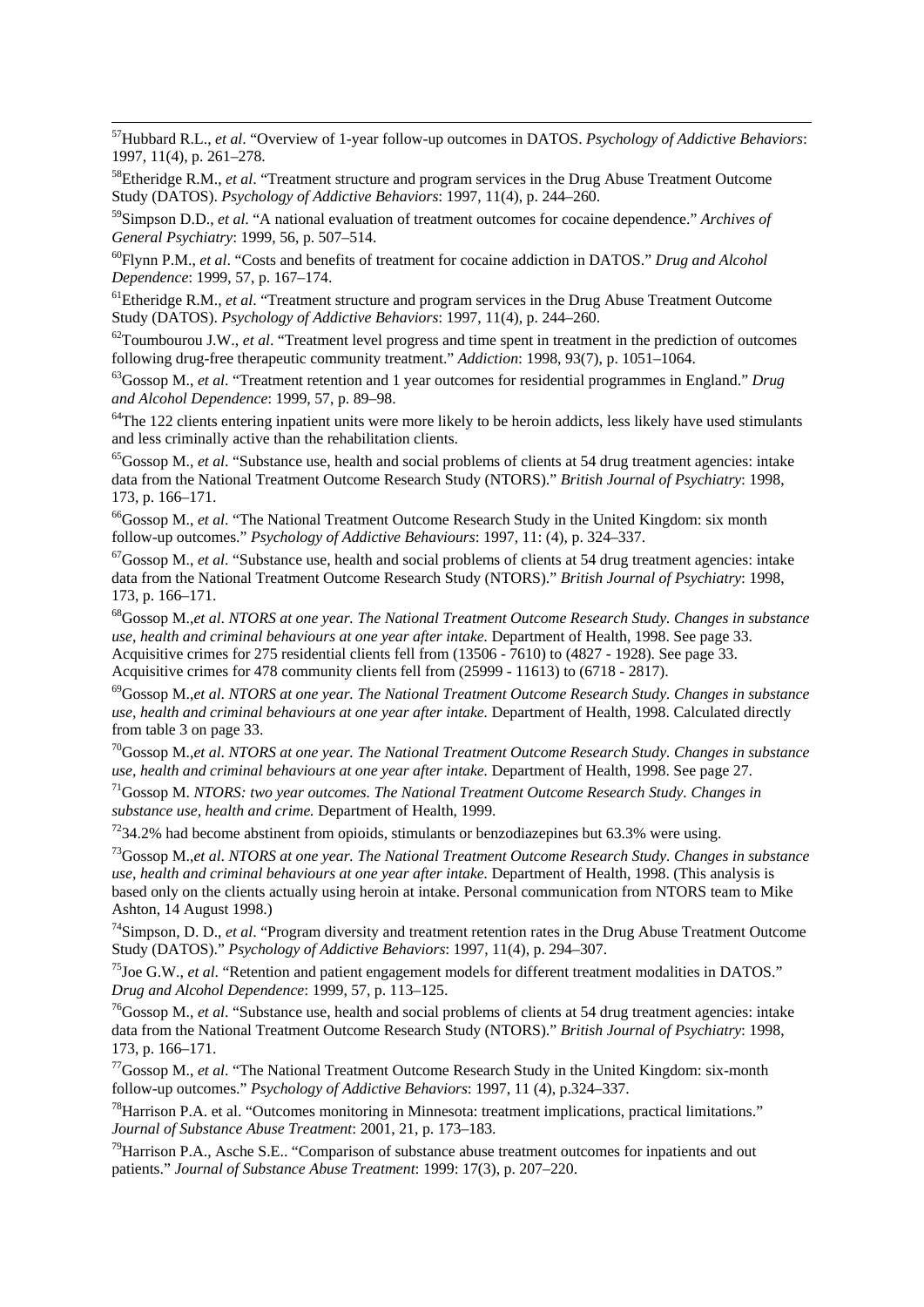<span id="page-21-0"></span>57Hubbard R.L., *et al*. "Overview of 1-year follow-up outcomes in DATOS. *Psychology of Addictive Behaviors*: 1997, 11(4), p. 261–278.

58Etheridge R.M., *et al*. "Treatment structure and program services in the Drug Abuse Treatment Outcome Study (DATOS). *Psychology of Addictive Behaviors*: 1997, 11(4), p. 244–260.

1

59Simpson D.D., *et al*. "A national evaluation of treatment outcomes for cocaine dependence." *Archives of* 

<sup>60</sup>Flynn P.M., *et al.* "Costs and benefits of treatment for cocaine addiction in DATOS." *Drug and Alcohol Dependence*: 1999, 57, p. 167–174.<br><sup>61</sup>Etheridge R.M., *et al.* "Treatment structure and program services in the Drug Abuse Treatment Outcome

Study (DATOS). *Psychology of Addictive Behaviors*: 1997, 11(4), p. 244–260.<br><sup>62</sup>Toumbourou J.W., *et al.* "Treatment level progress and time spent in treatment in the prediction of outcomes

following drug-free therapeutic community treatment." *Addiction*: 1998, 93(7), p. 1051–1064. 63Gossop M., *et al*. "Treatment retention and 1 year outcomes for residential programmes in England." *Drug* 

*and Alcohol Dependence*: 1999, 57, p. 89–98.<br><sup>64</sup>The 122 clients entering inpatient units were more likely to be heroin addicts, less likely have used stimulants

and less criminally active than the rehabilitation clients.

65Gossop M., *et al*. "Substance use, health and social problems of clients at 54 drug treatment agencies: intake data from the National Treatment Outcome Research Study (NTORS)." *British Journal of Psychiatry*: 1998, 173, p. 166–171.

<sup>66</sup>Gossop M., *et al.* "The National Treatment Outcome Research Study in the United Kingdom: six month follow-up outcomes." *Psychology of Addictive Behaviours*: 1997, 11: (4), p. 324–337.

<sup>67</sup>Gossop M., *et al.* "Substance use, health and social problems of clients at 54 drug treatment agencies: intake data from the National Treatment Outcome Research Study (NTORS)." *British Journal of Psychiatry*: 1998, 173, p. 166–171.

68Gossop M.,*et al*. *NTORS at one year. The National Treatment Outcome Research Study. Changes in substance use, health and criminal behaviours at one year after intake.* Department of Health, 1998. See page 33. Acquisitive crimes for 275 residential clients fell from (13506 - 7610) to (4827 - 1928). See page 33.<br>Acquisitive crimes for 478 community clients fell from (25999 - 11613) to (6718 - 2817).

<sup>69</sup>Gossop M.,et al. *NTORS at one year. The National Treatment Outcome Research Study. Changes in substance use, health and criminal behaviours at one year after intake.* Department of Health, 1998. Calculated directly from table 3 on page 33.

70Gossop M.,*et al*. *NTORS at one year. The National Treatment Outcome Research Study. Changes in substance* 

*use, health and criminal behaviours at one year after intake. Department of Health, 1998. See page 27.* <sup>71</sup>Gossop M. *NTORS: two year outcomes. The National Treatment Outcome Research Study. Changes in substance use, hea* 

 $^{72}$ 34.2% had become abstinent from opioids, stimulants or benzodiazepines but 63.3% were using.<br> $^{73}$ Gossop M.,et al. NTORS at one year. The National Treatment Outcome Research Study. Changes in substance *use, health and criminal behaviours at one year after intake.* Department of Health, 1998. (This analysis is based only on the clients actually using heroin at intake. Personal communication from NTORS team to Mike Ashton, 14 August 1998.)

74Simpson, D. D., *et al*. "Program diversity and treatment retention rates in the Drug Abuse Treatment Outcome Study (DATOS)." *Psychology of Addictive Behaviors*: 1997, 11(4), p. 294–307.<br><sup>75</sup>Joe G.W., *et al.* "Retention and patient engagement models for different treatment modalities in DATOS."

*Drug and Alcohol Dependence*: 1999, 57, p. 113–125.<br><sup>76</sup>Gossop M., *et al.* "Substance use, health and social problems of clients at 54 drug treatment agencies: intake

data from the National Treatment Outcome Research Study (NTORS)." *British Journal of Psychiatry*: 1998, 173, p. 166–171.

77Gossop M., *et al*. "The National Treatment Outcome Research Study in the United Kingdom: six-month follow-up outcomes." *Psychology of Addictive Behaviors*: 1997, 11 (4), p.324–337.<br><sup>78</sup>Harrison P.A. et al. "Outcomes monitoring in Minnesota: treatment implications, practical limitations."

*Journal of Substance Abuse Treatment*: 2001, 21, p. 173–183.<br><sup>79</sup>Harrison P.A., Asche S.E.. "Comparison of substance abuse treatment outcomes for inpatients and out

patients." *Journal of Substance Abuse Treatment*: 1999: 17(3), p. 207–220.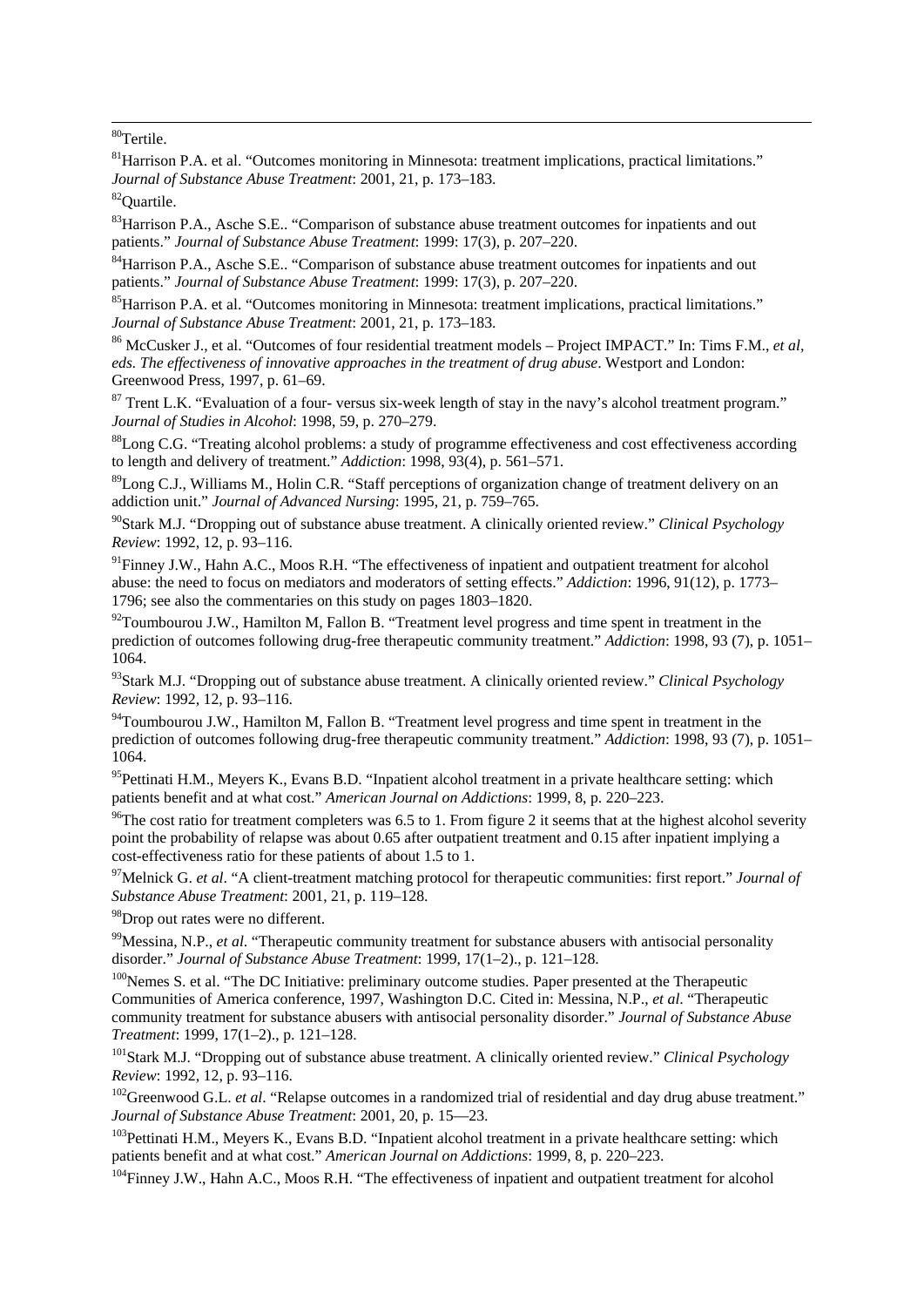80Tertile.

<span id="page-22-0"></span>1

<sup>81</sup>Harrison P.A. et al. "Outcomes monitoring in Minnesota: treatment implications, practical limitations." *Journal of Substance Abuse Treatment*: 2001, 21, p. 173–183.<br><sup>82</sup>Ouartile.

<sup>83</sup>Harrison P.A., Asche S.E.. "Comparison of substance abuse treatment outcomes for inpatients and out

patients." *Journal of Substance Abuse Treatment*: 1999: 17(3), p. 207–220.<br><sup>84</sup>Harrison P.A., Asche S.E.. "Comparison of substance abuse treatment outcomes for inpatients and out patients." *Journal of Substance Abuse Tre* 

<sup>85</sup> Harrison P.A. et al. "Outcomes monitoring in Minnesota: treatment implications, practical limitations." *Journal of Substance Abuse Treatment*: 2001, 21, p. 173–183.<br><sup>86</sup> McCusker J., et al. "Outcomes of four residential treatment models – Project IMPACT." In: Tims F.M., *et al,* 

*eds. The effectiveness of innovative approaches in the treatment of drug abuse*. Westport and London: Greenwood Press, 1997, p. 61–69.

<sup>87</sup> Trent L.K. "Evaluation of a four- versus six-week length of stay in the navy's alcohol treatment program."<br>Journal of Studies in Alcohol: 1998, 59, p. 270–279.

<sup>88</sup>Long C.G. "Treating alcohol problems: a study of programme effectiveness and cost effectiveness according to length and delivery of treatment." *Addiction*: 1998, 93(4), p. 561–571.

<sup>89</sup>Long C.J., Williams M., Holin C.R. "Staff perceptions of organization change of treatment delivery on an addiction unit." *Journal of Advanced Nursing*: 1995, 21, p. 759–765.

90Stark M.J. "Dropping out of substance abuse treatment. A clinically oriented review." *Clinical Psychology Review*: 1992, 12, p. 93–116.

<sup>91</sup>Finney J.W., Hahn A.C., Moos R.H. "The effectiveness of inpatient and outpatient treatment for alcohol abuse: the need to focus on mediators and moderators of setting effects." *Addiction*: 1996, 91(12), p. 1773– 1796; see also the commentaries on this study on pages 1803–1820.

 $92$ Toumbourou J.W., Hamilton M, Fallon B. "Treatment level progress and time spent in treatment in the prediction of outcomes following drug-free therapeutic community treatment." *Addiction*: 1998, 93 (7), p. 1051– 1064.

93Stark M.J. "Dropping out of substance abuse treatment. A clinically oriented review." *Clinical Psychology Review*: 1992, 12, p. 93–116.

<sup>94</sup>Toumbourou J.W., Hamilton M, Fallon B. "Treatment level progress and time spent in treatment in the prediction of outcomes following drug-free therapeutic community treatment." *Addiction*: 1998, 93 (7), p. 1051– 1064.

<sup>95</sup>Pettinati H.M., Meyers K., Evans B.D. "Inpatient alcohol treatment in a private healthcare setting: which patients benefit and at what cost." *American Journal on Addictions*: 1999, 8, p. 220–223.<br><sup>96</sup>The cost ratio for treatment completers was 6.5 to 1. From figure 2 it seems that at the highest alcohol severity

point the probability of relapse was about 0.65 after outpatient treatment and 0.15 after inpatient implying a cost-effectiveness ratio for these patients of about 1.5 to 1.

97Melnick G. *et al*. "A client-treatment matching protocol for therapeutic communities: first report." *Journal of Substance Abuse Treatment*: 2001, 21, p. 119–128.

<sup>98</sup>Drop out rates were no different.

<sup>99</sup>Messina, N.P., *et al.* "Therapeutic community treatment for substance abusers with antisocial personality disorder." *Journal of Substance Abuse Treatment*: 1999. 17(1–2).. p. 121–128.

<sup>100</sup>Nemes S. et al. "The DC Initiative: preliminary outcome studies. Paper presented at the Therapeutic Communities of America conference, 1997, Washington D.C. Cited in: Messina, N.P., *et al*. "Therapeutic community treatment for substance abusers with antisocial personality disorder." *Journal of Substance Abuse Treatment*: 1999, 17(1–2)., p. 121–128.<br><sup>101</sup>Stark M.J. "Dropping out of substance abuse treatment. A clinically oriented review." *Clinical Psychology* 

*Review*: 1992, 12, p. 93–116.<br><sup>102</sup>Greenwood G.L. *et al*. "Relapse outcomes in a randomized trial of residential and day drug abuse treatment."<br>*Journal of Substance Abuse Treatment*: 2001, 20, p. 15—23.

<sup>103</sup>Pettinati H.M., Meyers K., Evans B.D. "Inpatient alcohol treatment in a private healthcare setting: which patients benefit and at what cost." *American Journal on Addictions*: 1999, 8, p. 220–223.

<sup>104</sup>Finney J.W., Hahn A.C., Moos R.H. "The effectiveness of inpatient and outpatient treatment for alcohol